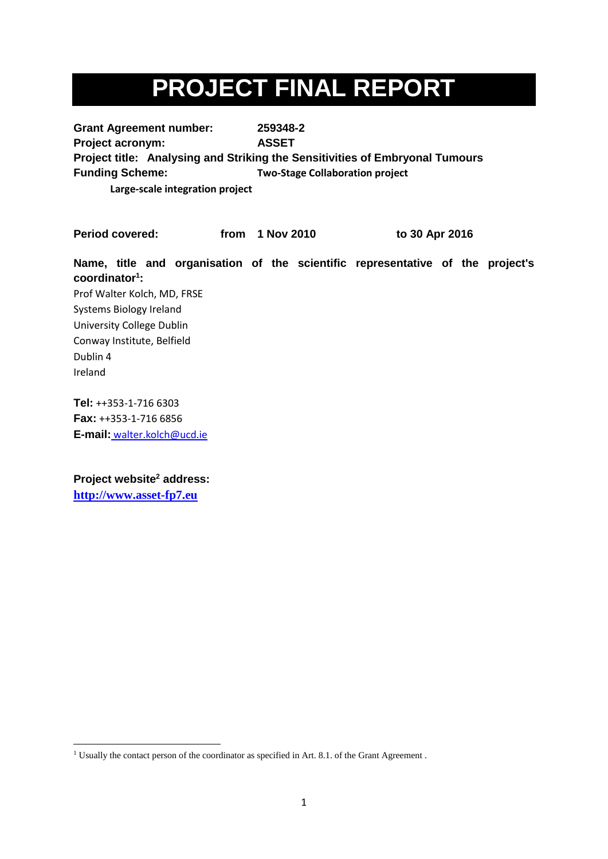# **PROJECT FINAL REPORT**

**Grant Agreement number: 259348-2 Project acronym: ASSET Project title: Analysing and Striking the Sensitivities of Embryonal Tumours Funding Scheme: Two-Stage Collaboration project**

**Large-scale integration project**

**Period covered: from 1 Nov 2010 to 30 Apr 2016**

**Name, title and organisation of the scientific representative of the project's coordinator<sup>1</sup> :**  Prof Walter Kolch, MD, FRSE Systems Biology Ireland University College Dublin Conway Institute, Belfield Dublin 4 Ireland

**Tel:** ++353-1-716 6303 **Fax:** ++353-1-716 6856 **E-mail:** walter.kolch@ucd.ie

**Project website<sup>2</sup> address: [http://www.asset-fp7.eu](http://www.asset-fp7.eu/)**

**<sup>.</sup>** <sup>1</sup> Usually the contact person of the coordinator as specified in Art. 8.1. of the Grant Agreement.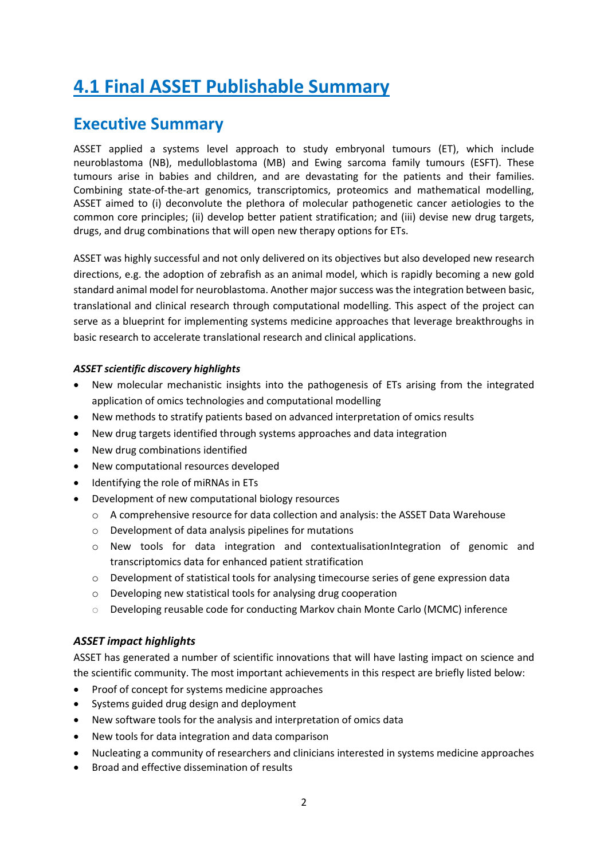# **4.1 Final ASSET Publishable Summary**

## **Executive Summary**

ASSET applied a systems level approach to study embryonal tumours (ET), which include neuroblastoma (NB), medulloblastoma (MB) and Ewing sarcoma family tumours (ESFT). These tumours arise in babies and children, and are devastating for the patients and their families. Combining state-of-the-art genomics, transcriptomics, proteomics and mathematical modelling, ASSET aimed to (i) deconvolute the plethora of molecular pathogenetic cancer aetiologies to the common core principles; (ii) develop better patient stratification; and (iii) devise new drug targets, drugs, and drug combinations that will open new therapy options for ETs.

ASSET was highly successful and not only delivered on its objectives but also developed new research directions, e.g. the adoption of zebrafish as an animal model, which is rapidly becoming a new gold standard animal model for neuroblastoma. Another major success was the integration between basic, translational and clinical research through computational modelling. This aspect of the project can serve as a blueprint for implementing systems medicine approaches that leverage breakthroughs in basic research to accelerate translational research and clinical applications.

### *ASSET scientific discovery highlights*

- New molecular mechanistic insights into the pathogenesis of ETs arising from the integrated application of omics technologies and computational modelling
- New methods to stratify patients based on advanced interpretation of omics results
- New drug targets identified through systems approaches and data integration
- New drug combinations identified
- New computational resources developed
- Identifying the role of miRNAs in ETs
- Development of new computational biology resources
	- o A comprehensive resource for data collection and analysis: the ASSET Data Warehouse
	- o Development of data analysis pipelines for mutations
	- o New tools for data integration and contextualisationIntegration of genomic and transcriptomics data for enhanced patient stratification
	- $\circ$  Development of statistical tools for analysing timecourse series of gene expression data
	- o Developing new statistical tools for analysing drug cooperation
	- $\circ$  Developing reusable code for conducting Markov chain Monte Carlo (MCMC) inference

### *ASSET impact highlights*

ASSET has generated a number of scientific innovations that will have lasting impact on science and the scientific community. The most important achievements in this respect are briefly listed below:

- Proof of concept for systems medicine approaches
- Systems guided drug design and deployment
- New software tools for the analysis and interpretation of omics data
- New tools for data integration and data comparison
- Nucleating a community of researchers and clinicians interested in systems medicine approaches
- Broad and effective dissemination of results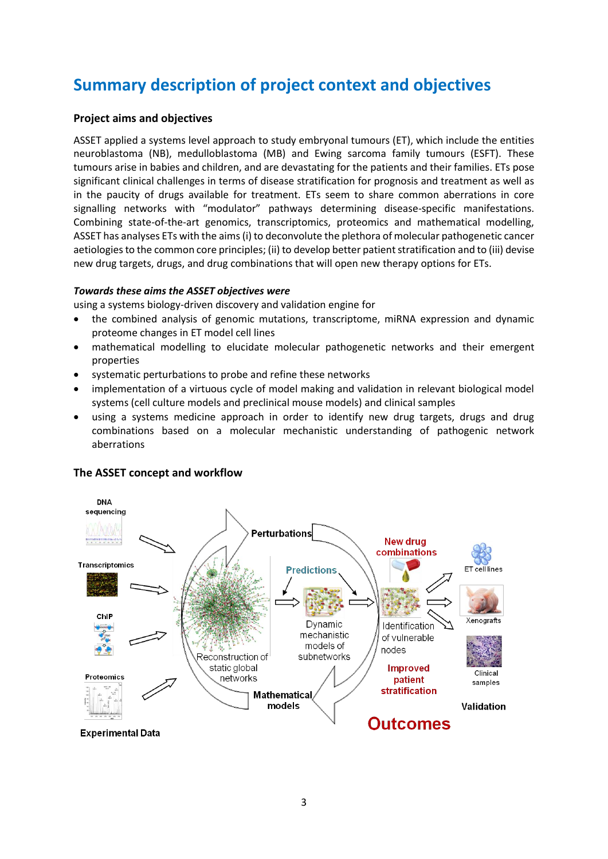# **Summary description of project context and objectives**

### **Project aims and objectives**

ASSET applied a systems level approach to study embryonal tumours (ET), which include the entities neuroblastoma (NB), medulloblastoma (MB) and Ewing sarcoma family tumours (ESFT). These tumours arise in babies and children, and are devastating for the patients and their families. ETs pose significant clinical challenges in terms of disease stratification for prognosis and treatment as well as in the paucity of drugs available for treatment. ETs seem to share common aberrations in core signalling networks with "modulator" pathways determining disease-specific manifestations. Combining state-of-the-art genomics, transcriptomics, proteomics and mathematical modelling, ASSET has analyses ETs with the aims (i) to deconvolute the plethora of molecular pathogenetic cancer aetiologies to the common core principles; (ii) to develop better patient stratification and to (iii) devise new drug targets, drugs, and drug combinations that will open new therapy options for ETs.

### *Towards these aims the ASSET objectives were*

using a systems biology-driven discovery and validation engine for

- the combined analysis of genomic mutations, transcriptome, miRNA expression and dynamic proteome changes in ET model cell lines
- mathematical modelling to elucidate molecular pathogenetic networks and their emergent properties
- systematic perturbations to probe and refine these networks
- implementation of a virtuous cycle of model making and validation in relevant biological model systems (cell culture models and preclinical mouse models) and clinical samples
- using a systems medicine approach in order to identify new drug targets, drugs and drug combinations based on a molecular mechanistic understanding of pathogenic network aberrations



### **The ASSET concept and workflow**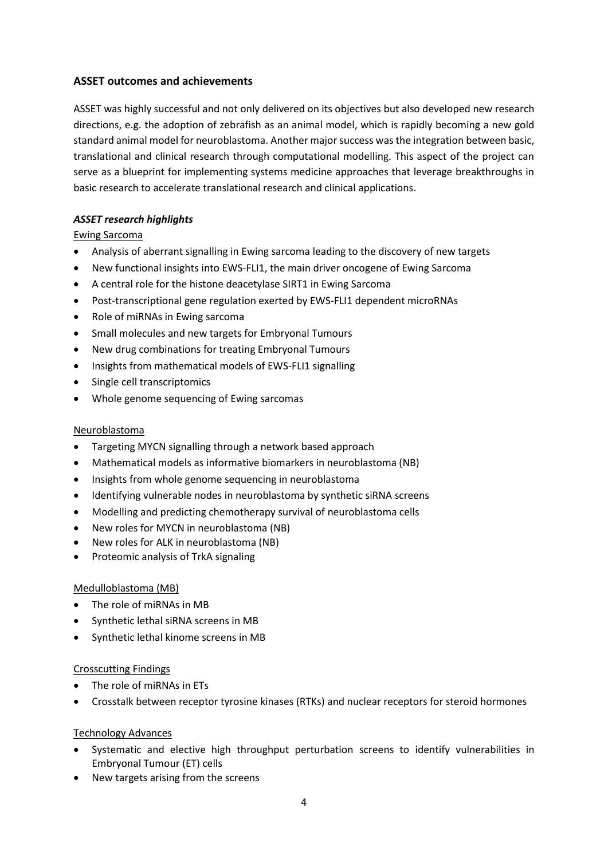### **ASSET outcomes and achievements**

ASSET was highly successful and not only delivered on its objectives but also developed new research directions, e.g. the adoption of zebrafish as an animal model, which is rapidly becoming a new gold standard animal model for neuroblastoma. Another major success was the integration between basic, translational and clinical research through computational modelling. This aspect of the project can serve as a blueprint for implementing systems medicine approaches that leverage breakthroughs in basic research to accelerate translational research and clinical applications.

### *ASSET research highlights*

Ewing Sarcoma

- Analysis of aberrant signalling in Ewing sarcoma leading to the discovery of new targets
- New functional insights into EWS-FLI1, the main driver oncogene of Ewing Sarcoma
- A central role for the histone deacetylase SIRT1 in Ewing Sarcoma
- Post-transcriptional gene regulation exerted by EWS-FLI1 dependent microRNAs
- Role of miRNAs in Ewing sarcoma
- Small molecules and new targets for Embryonal Tumours
- New drug combinations for treating Embryonal Tumours
- Insights from mathematical models of EWS-FLI1 signalling
- Single cell transcriptomics
- Whole genome sequencing of Ewing sarcomas

### Neuroblastoma

- Targeting MYCN signalling through a network based approach
- Mathematical models as informative biomarkers in neuroblastoma (NB)
- Insights from whole genome sequencing in neuroblastoma
- Identifying vulnerable nodes in neuroblastoma by synthetic siRNA screens
- Modelling and predicting chemotherapy survival of neuroblastoma cells
- New roles for MYCN in neuroblastoma (NB)
- New roles for ALK in neuroblastoma (NB)
- Proteomic analysis of TrkA signaling

### Medulloblastoma (MB)

- The role of miRNAs in MB
- Synthetic lethal siRNA screens in MB
- Synthetic lethal kinome screens in MB

### Crosscutting Findings

- The role of miRNAs in ETs
- Crosstalk between receptor tyrosine kinases (RTKs) and nuclear receptors for steroid hormones

### Technology Advances

- Systematic and elective high throughput perturbation screens to identify vulnerabilities in Embryonal Tumour (ET) cells
- New targets arising from the screens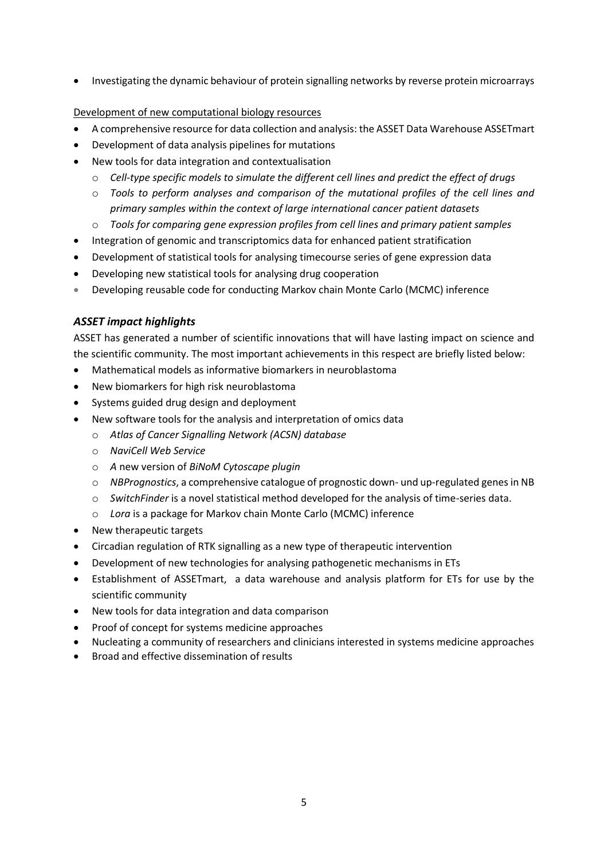Investigating the dynamic behaviour of protein signalling networks by reverse protein microarrays

### Development of new computational biology resources

- A comprehensive resource for data collection and analysis: the ASSET Data Warehouse ASSETmart
- Development of data analysis pipelines for mutations
- New tools for data integration and contextualisation
	- o *Cell-type specific models to simulate the different cell lines and predict the effect of drugs*
	- o *Tools to perform analyses and comparison of the mutational profiles of the cell lines and primary samples within the context of large international cancer patient datasets*
	- o *Tools for comparing gene expression profiles from cell lines and primary patient samples*
- Integration of genomic and transcriptomics data for enhanced patient stratification
- Development of statistical tools for analysing timecourse series of gene expression data
- Developing new statistical tools for analysing drug cooperation
- Developing reusable code for conducting Markov chain Monte Carlo (MCMC) inference

### *ASSET impact highlights*

ASSET has generated a number of scientific innovations that will have lasting impact on science and the scientific community. The most important achievements in this respect are briefly listed below:

- Mathematical models as informative biomarkers in neuroblastoma
- New biomarkers for high risk neuroblastoma
- Systems guided drug design and deployment
- New software tools for the analysis and interpretation of omics data
	- o *Atlas of Cancer Signalling Network (ACSN) database*
	- o *NaviCell Web Service*
	- o *A* new version of *BiNoM Cytoscape plugin*
	- o *NBPrognostics*, a comprehensive catalogue of prognostic down- und up-regulated genes in NB
	- o *SwitchFinder* is a novel statistical method developed for the analysis of time-series data.
	- o *Lora* is a package for Markov chain Monte Carlo (MCMC) inference
- New therapeutic targets
- Circadian regulation of RTK signalling as a new type of therapeutic intervention
- Development of new technologies for analysing pathogenetic mechanisms in ETs
- Establishment of ASSETmart, a data warehouse and analysis platform for ETs for use by the scientific community
- New tools for data integration and data comparison
- Proof of concept for systems medicine approaches
- Nucleating a community of researchers and clinicians interested in systems medicine approaches
- Broad and effective dissemination of results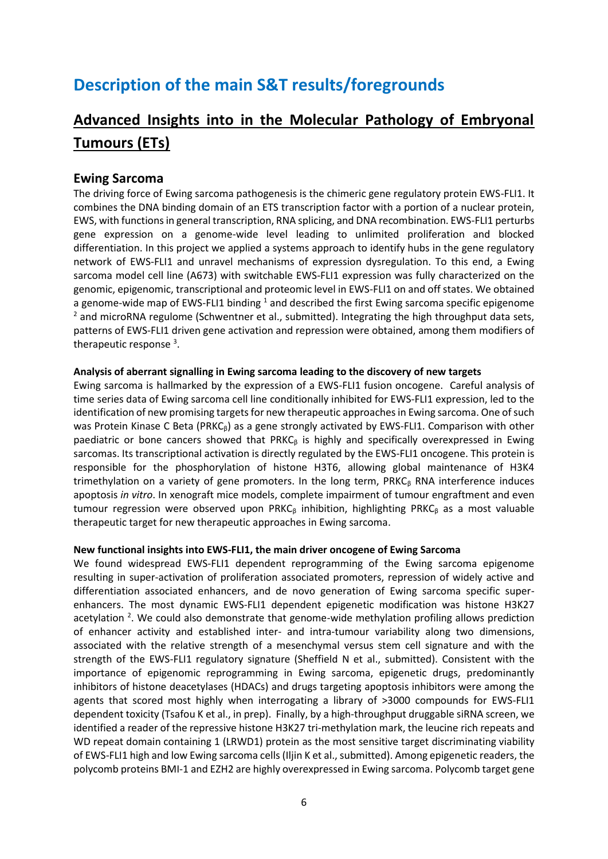# **Description of the main S&T results/foregrounds**

# **Advanced Insights into in the Molecular Pathology of Embryonal Tumours (ETs)**

### **Ewing Sarcoma**

The driving force of Ewing sarcoma pathogenesis is the chimeric gene regulatory protein EWS-FLI1. It combines the DNA binding domain of an ETS transcription factor with a portion of a nuclear protein, EWS, with functions in general transcription, RNA splicing, and DNA recombination. EWS-FLI1 perturbs gene expression on a genome-wide level leading to unlimited proliferation and blocked differentiation. In this project we applied a systems approach to identify hubs in the gene regulatory network of EWS-FLI1 and unravel mechanisms of expression dysregulation. To this end, a Ewing sarcoma model cell line (A673) with switchable EWS-FLI1 expression was fully characterized on the genomic, epigenomic, transcriptional and proteomic level in EWS-FLI1 on and off states. We obtained a genome-wide map of EWS-FLI1 binding  $1$  and described the first Ewing sarcoma specific epigenome  $2$  and microRNA regulome (Schwentner et al., submitted). Integrating the high throughput data sets, patterns of EWS-FLI1 driven gene activation and repression were obtained, among them modifiers of therapeutic response<sup>3</sup>.

### **Analysis of aberrant signalling in Ewing sarcoma leading to the discovery of new targets**

Ewing sarcoma is hallmarked by the expression of a EWS-FLI1 fusion oncogene. Careful analysis of time series data of Ewing sarcoma cell line conditionally inhibited for EWS-FLI1 expression, led to the identification of new promising targets for new therapeutic approaches in Ewing sarcoma. One of such was Protein Kinase C Beta (PRKC $<sub>6</sub>$ ) as a gene strongly activated by EWS-FLI1. Comparison with other</sub> paediatric or bone cancers showed that PRKC $<sub>β</sub>$  is highly and specifically overexpressed in Ewing</sub> sarcomas. Its transcriptional activation is directly regulated by the EWS-FLI1 oncogene. This protein is responsible for the phosphorylation of histone H3T6, allowing global maintenance of H3K4 trimethylation on a variety of gene promoters. In the long term,  $PRKC<sub>β</sub> RNA interference induces$ apoptosis *in vitro*. In xenograft mice models, complete impairment of tumour engraftment and even tumour regression were observed upon PRKC $<sub>β</sub>$  inhibition, highlighting PRKC<sub>β</sub> as a most valuable</sub> therapeutic target for new therapeutic approaches in Ewing sarcoma.

### **New functional insights into EWS-FLI1, the main driver oncogene of Ewing Sarcoma**

We found widespread EWS-FLI1 dependent reprogramming of the Ewing sarcoma epigenome resulting in super-activation of proliferation associated promoters, repression of widely active and differentiation associated enhancers, and de novo generation of Ewing sarcoma specific superenhancers. The most dynamic EWS-FLI1 dependent epigenetic modification was histone H3K27 acetylation<sup>2</sup>. We could also demonstrate that genome-wide methylation profiling allows prediction of enhancer activity and established inter- and intra-tumour variability along two dimensions, associated with the relative strength of a mesenchymal versus stem cell signature and with the strength of the EWS-FLI1 regulatory signature (Sheffield N et al., submitted). Consistent with the importance of epigenomic reprogramming in Ewing sarcoma, epigenetic drugs, predominantly inhibitors of histone deacetylases (HDACs) and drugs targeting apoptosis inhibitors were among the agents that scored most highly when interrogating a library of >3000 compounds for EWS-FLI1 dependent toxicity (Tsafou K et al., in prep). Finally, by a high-throughput druggable siRNA screen, we identified a reader of the repressive histone H3K27 tri-methylation mark, the leucine rich repeats and WD repeat domain containing 1 (LRWD1) protein as the most sensitive target discriminating viability of EWS-FLI1 high and low Ewing sarcoma cells (Iljin K et al., submitted). Among epigenetic readers, the polycomb proteins BMI-1 and EZH2 are highly overexpressed in Ewing sarcoma. Polycomb target gene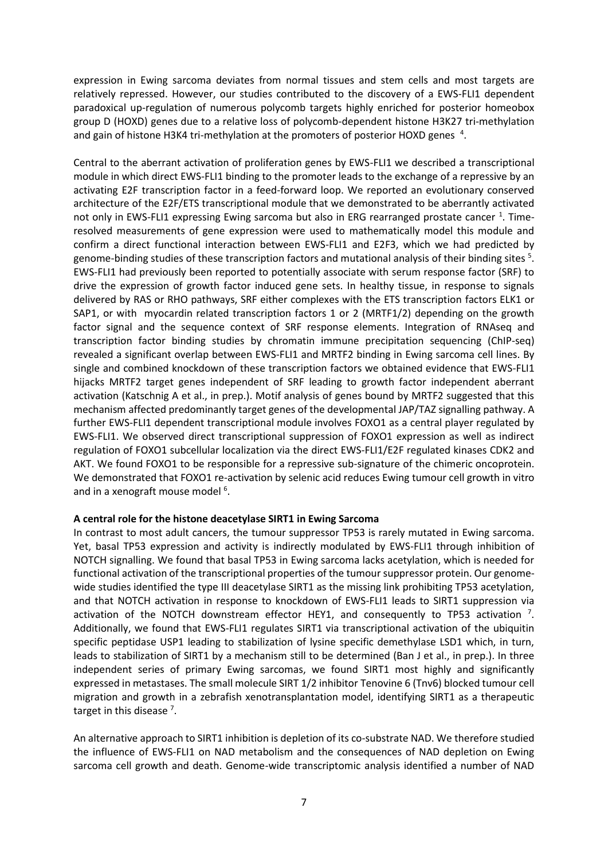expression in Ewing sarcoma deviates from normal tissues and stem cells and most targets are relatively repressed. However, our studies contributed to the discovery of a EWS-FLI1 dependent paradoxical up-regulation of numerous polycomb targets highly enriched for posterior homeobox group D (HOXD) genes due to a relative loss of polycomb-dependent histone H3K27 tri-methylation and gain of histone H3K4 tri-methylation at the promoters of posterior HOXD genes  $4$ .

Central to the aberrant activation of proliferation genes by EWS-FLI1 we described a transcriptional module in which direct EWS-FLI1 binding to the promoter leads to the exchange of a repressive by an activating E2F transcription factor in a feed-forward loop. We reported an evolutionary conserved architecture of the E2F/ETS transcriptional module that we demonstrated to be aberrantly activated not only in EWS-FLI1 expressing Ewing sarcoma but also in ERG rearranged prostate cancer <sup>1</sup>. Timeresolved measurements of gene expression were used to mathematically model this module and confirm a direct functional interaction between EWS-FLI1 and E2F3, which we had predicted by genome-binding studies of these transcription factors and mutational analysis of their binding sites <sup>5</sup>. EWS-FLI1 had previously been reported to potentially associate with serum response factor (SRF) to drive the expression of growth factor induced gene sets. In healthy tissue, in response to signals delivered by RAS or RHO pathways, SRF either complexes with the ETS transcription factors ELK1 or SAP1, or with myocardin related transcription factors 1 or 2 (MRTF1/2) depending on the growth factor signal and the sequence context of SRF response elements. Integration of RNAseq and transcription factor binding studies by chromatin immune precipitation sequencing (ChIP-seq) revealed a significant overlap between EWS-FLI1 and MRTF2 binding in Ewing sarcoma cell lines. By single and combined knockdown of these transcription factors we obtained evidence that EWS-FLI1 hijacks MRTF2 target genes independent of SRF leading to growth factor independent aberrant activation (Katschnig A et al., in prep.). Motif analysis of genes bound by MRTF2 suggested that this mechanism affected predominantly target genes of the developmental JAP/TAZ signalling pathway. A further EWS-FLI1 dependent transcriptional module involves FOXO1 as a central player regulated by EWS-FLI1. We observed direct transcriptional suppression of FOXO1 expression as well as indirect regulation of FOXO1 subcellular localization via the direct EWS-FLI1/E2F regulated kinases CDK2 and AKT. We found FOXO1 to be responsible for a repressive sub-signature of the chimeric oncoprotein. We demonstrated that FOXO1 re-activation by selenic acid reduces Ewing tumour cell growth in vitro and in a xenograft mouse model<sup>6</sup>.

### **A central role for the histone deacetylase SIRT1 in Ewing Sarcoma**

In contrast to most adult cancers, the tumour suppressor TP53 is rarely mutated in Ewing sarcoma. Yet, basal TP53 expression and activity is indirectly modulated by EWS-FLI1 through inhibition of NOTCH signalling. We found that basal TP53 in Ewing sarcoma lacks acetylation, which is needed for functional activation of the transcriptional properties of the tumour suppressor protein. Our genomewide studies identified the type III deacetylase SIRT1 as the missing link prohibiting TP53 acetylation, and that NOTCH activation in response to knockdown of EWS-FLI1 leads to SIRT1 suppression via activation of the NOTCH downstream effector HEY1, and consequently to TP53 activation  $^7$ . Additionally, we found that EWS-FLI1 regulates SIRT1 via transcriptional activation of the ubiquitin specific peptidase USP1 leading to stabilization of lysine specific demethylase LSD1 which, in turn, leads to stabilization of SIRT1 by a mechanism still to be determined (Ban J et al., in prep.). In three independent series of primary Ewing sarcomas, we found SIRT1 most highly and significantly expressed in metastases. The small molecule SIRT 1/2 inhibitor Tenovine 6 (Tnv6) blocked tumour cell migration and growth in a zebrafish xenotransplantation model, identifying SIRT1 as a therapeutic target in this disease<sup>7</sup>.

An alternative approach to SIRT1 inhibition is depletion of its co-substrate NAD. We therefore studied the influence of EWS-FLI1 on NAD metabolism and the consequences of NAD depletion on Ewing sarcoma cell growth and death. Genome-wide transcriptomic analysis identified a number of NAD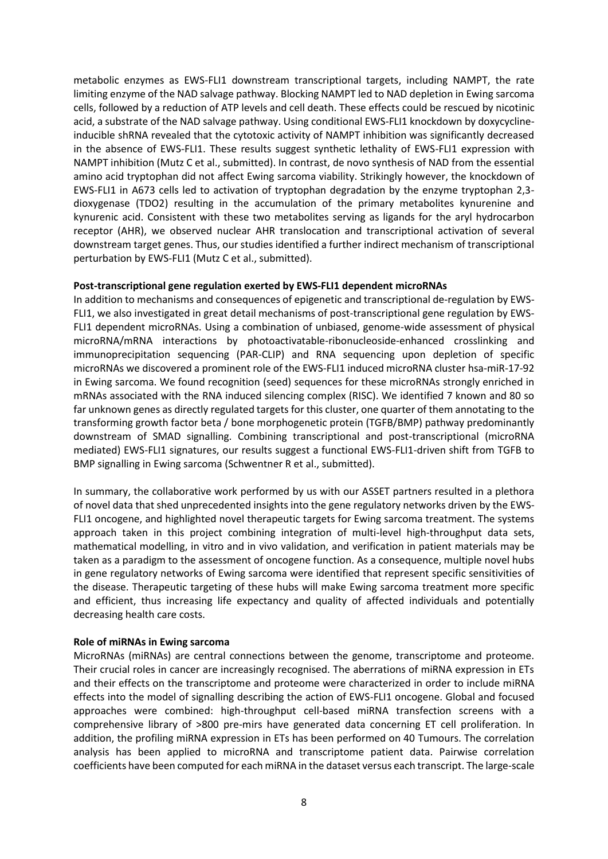metabolic enzymes as EWS-FLI1 downstream transcriptional targets, including NAMPT, the rate limiting enzyme of the NAD salvage pathway. Blocking NAMPT led to NAD depletion in Ewing sarcoma cells, followed by a reduction of ATP levels and cell death. These effects could be rescued by nicotinic acid, a substrate of the NAD salvage pathway. Using conditional EWS-FLI1 knockdown by doxycyclineinducible shRNA revealed that the cytotoxic activity of NAMPT inhibition was significantly decreased in the absence of EWS-FLI1. These results suggest synthetic lethality of EWS-FLI1 expression with NAMPT inhibition (Mutz C et al., submitted). In contrast, de novo synthesis of NAD from the essential amino acid tryptophan did not affect Ewing sarcoma viability. Strikingly however, the knockdown of EWS-FLI1 in A673 cells led to activation of tryptophan degradation by the enzyme tryptophan 2,3 dioxygenase (TDO2) resulting in the accumulation of the primary metabolites kynurenine and kynurenic acid. Consistent with these two metabolites serving as ligands for the aryl hydrocarbon receptor (AHR), we observed nuclear AHR translocation and transcriptional activation of several downstream target genes. Thus, our studies identified a further indirect mechanism of transcriptional perturbation by EWS-FLI1 (Mutz C et al., submitted).

#### **Post-transcriptional gene regulation exerted by EWS-FLI1 dependent microRNAs**

In addition to mechanisms and consequences of epigenetic and transcriptional de-regulation by EWS-FLI1, we also investigated in great detail mechanisms of post-transcriptional gene regulation by EWS-FLI1 dependent microRNAs. Using a combination of unbiased, genome-wide assessment of physical microRNA/mRNA interactions by photoactivatable-ribonucleoside-enhanced crosslinking and immunoprecipitation sequencing (PAR-CLIP) and RNA sequencing upon depletion of specific microRNAs we discovered a prominent role of the EWS-FLI1 induced microRNA cluster hsa-miR-17-92 in Ewing sarcoma. We found recognition (seed) sequences for these microRNAs strongly enriched in mRNAs associated with the RNA induced silencing complex (RISC). We identified 7 known and 80 so far unknown genes as directly regulated targets for this cluster, one quarter of them annotating to the transforming growth factor beta / bone morphogenetic protein (TGFB/BMP) pathway predominantly downstream of SMAD signalling. Combining transcriptional and post-transcriptional (microRNA mediated) EWS-FLI1 signatures, our results suggest a functional EWS-FLI1-driven shift from TGFB to BMP signalling in Ewing sarcoma (Schwentner R et al., submitted).

In summary, the collaborative work performed by us with our ASSET partners resulted in a plethora of novel data that shed unprecedented insights into the gene regulatory networks driven by the EWS-FLI1 oncogene, and highlighted novel therapeutic targets for Ewing sarcoma treatment. The systems approach taken in this project combining integration of multi-level high-throughput data sets, mathematical modelling, in vitro and in vivo validation, and verification in patient materials may be taken as a paradigm to the assessment of oncogene function. As a consequence, multiple novel hubs in gene regulatory networks of Ewing sarcoma were identified that represent specific sensitivities of the disease. Therapeutic targeting of these hubs will make Ewing sarcoma treatment more specific and efficient, thus increasing life expectancy and quality of affected individuals and potentially decreasing health care costs.

#### **Role of miRNAs in Ewing sarcoma**

MicroRNAs (miRNAs) are central connections between the genome, transcriptome and proteome. Their crucial roles in cancer are increasingly recognised. The aberrations of miRNA expression in ETs and their effects on the transcriptome and proteome were characterized in order to include miRNA effects into the model of signalling describing the action of EWS-FLI1 oncogene. Global and focused approaches were combined: high-throughput cell-based miRNA transfection screens with a comprehensive library of >800 pre-mirs have generated data concerning ET cell proliferation. In addition, the profiling miRNA expression in ETs has been performed on 40 Tumours. The correlation analysis has been applied to microRNA and transcriptome patient data. Pairwise correlation coefficients have been computed for each miRNA in the dataset versus each transcript. The large-scale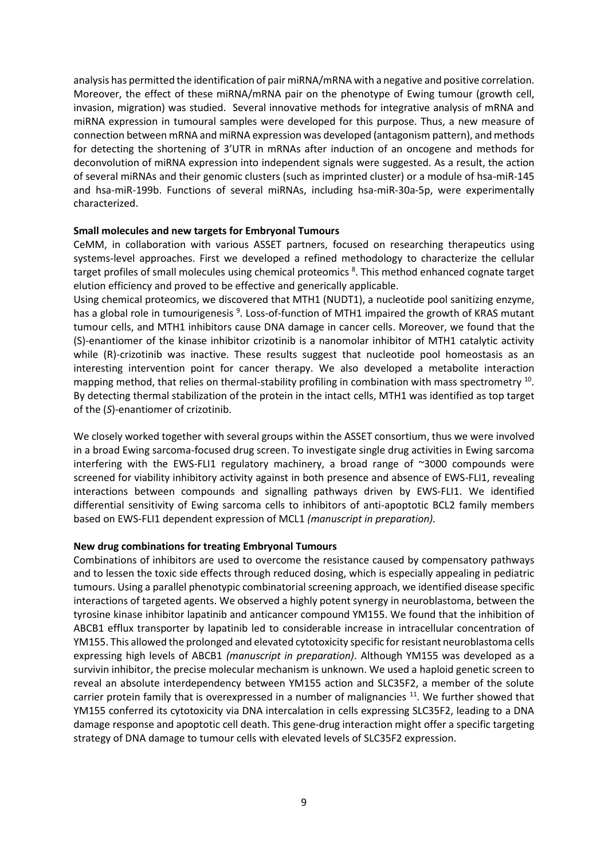analysis has permitted the identification of pair miRNA/mRNA with a negative and positive correlation. Moreover, the effect of these miRNA/mRNA pair on the phenotype of Ewing tumour (growth cell, invasion, migration) was studied. Several innovative methods for integrative analysis of mRNA and miRNA expression in tumoural samples were developed for this purpose. Thus, a new measure of connection between mRNA and miRNA expression was developed (antagonism pattern), and methods for detecting the shortening of 3'UTR in mRNAs after induction of an oncogene and methods for deconvolution of miRNA expression into independent signals were suggested. As a result, the action of several miRNAs and their genomic clusters (such as imprinted cluster) or a module of hsa-miR-145 and hsa-miR-199b. Functions of several miRNAs, including hsa-miR-30a-5p, were experimentally characterized.

#### **Small molecules and new targets for Embryonal Tumours**

CeMM, in collaboration with various ASSET partners, focused on researching therapeutics using systems-level approaches. First we developed a refined methodology to characterize the cellular target profiles of small molecules using chemical proteomics <sup>8</sup>. This method enhanced cognate target elution efficiency and proved to be effective and generically applicable.

Using chemical proteomics, we discovered that MTH1 (NUDT1), a nucleotide pool sanitizing enzyme, has a global role in tumourigenesis<sup>9</sup>. Loss-of-function of MTH1 impaired the growth of KRAS mutant tumour cells, and MTH1 inhibitors cause DNA damage in cancer cells. Moreover, we found that the (S)-enantiomer of the kinase inhibitor crizotinib is a nanomolar inhibitor of MTH1 catalytic activity while (R)-crizotinib was inactive. These results suggest that nucleotide pool homeostasis as an interesting intervention point for cancer therapy. We also developed a metabolite interaction mapping method, that relies on thermal-stability profiling in combination with mass spectrometry  $^{10}$ . By detecting thermal stabilization of the protein in the intact cells, MTH1 was identified as top target of the (*S*)-enantiomer of crizotinib.

We closely worked together with several groups within the ASSET consortium, thus we were involved in a broad Ewing sarcoma-focused drug screen. To investigate single drug activities in Ewing sarcoma interfering with the EWS-FLI1 regulatory machinery, a broad range of ~3000 compounds were screened for viability inhibitory activity against in both presence and absence of EWS-FLI1, revealing interactions between compounds and signalling pathways driven by EWS-FLI1. We identified differential sensitivity of Ewing sarcoma cells to inhibitors of anti-apoptotic BCL2 family members based on EWS-FLI1 dependent expression of MCL1 *(manuscript in preparation).*

### **New drug combinations for treating Embryonal Tumours**

Combinations of inhibitors are used to overcome the resistance caused by compensatory pathways and to lessen the toxic side effects through reduced dosing, which is especially appealing in pediatric tumours. Using a parallel phenotypic combinatorial screening approach, we identified disease specific interactions of targeted agents. We observed a highly potent synergy in neuroblastoma, between the tyrosine kinase inhibitor lapatinib and anticancer compound YM155. We found that the inhibition of ABCB1 efflux transporter by lapatinib led to considerable increase in intracellular concentration of YM155. This allowed the prolonged and elevated cytotoxicity specific for resistant neuroblastoma cells expressing high levels of ABCB1 *(manuscript in preparation)*. Although YM155 was developed as a survivin inhibitor, the precise molecular mechanism is unknown. We used a haploid genetic screen to reveal an absolute interdependency between YM155 action and SLC35F2, a member of the solute carrier protein family that is overexpressed in a number of malignancies  $11$ . We further showed that YM155 conferred its cytotoxicity via DNA intercalation in cells expressing SLC35F2, leading to a DNA damage response and apoptotic cell death. This gene-drug interaction might offer a specific targeting strategy of DNA damage to tumour cells with elevated levels of SLC35F2 expression.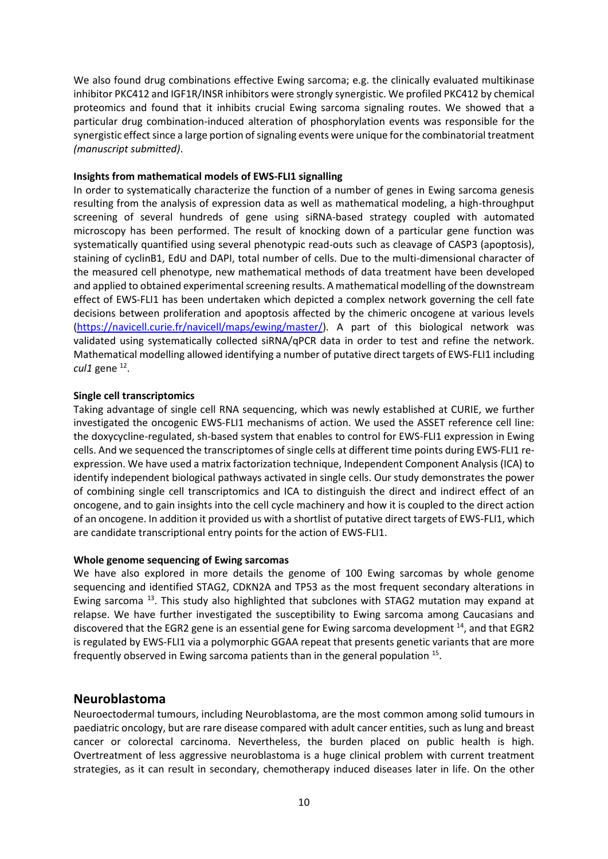We also found drug combinations effective Ewing sarcoma; e.g. the clinically evaluated multikinase inhibitor PKC412 and IGF1R/INSR inhibitors were strongly synergistic. We profiled PKC412 by chemical proteomics and found that it inhibits crucial Ewing sarcoma signaling routes. We showed that a particular drug combination-induced alteration of phosphorylation events was responsible for the synergistic effect since a large portion of signaling events were unique for the combinatorial treatment *(manuscript submitted)*.

### **Insights from mathematical models of EWS-FLI1 signalling**

In order to systematically characterize the function of a number of genes in Ewing sarcoma genesis resulting from the analysis of expression data as well as mathematical modeling, a high-throughput screening of several hundreds of gene using siRNA-based strategy coupled with automated microscopy has been performed. The result of knocking down of a particular gene function was systematically quantified using several phenotypic read-outs such as cleavage of CASP3 (apoptosis), staining of cyclinB1, EdU and DAPI, total number of cells. Due to the multi-dimensional character of the measured cell phenotype, new mathematical methods of data treatment have been developed and applied to obtained experimental screening results. A mathematical modelling of the downstream effect of EWS-FLI1 has been undertaken which depicted a complex network governing the cell fate decisions between proliferation and apoptosis affected by the chimeric oncogene at various levels [\(https://navicell.curie.fr/navicell/maps/ewing/master/\)](https://navicell.curie.fr/navicell/maps/ewing/master/). A part of this biological network was validated using systematically collected siRNA/qPCR data in order to test and refine the network. Mathematical modelling allowed identifying a number of putative direct targets of EWS-FLI1 including cul1 gene<sup>12</sup>.

### **Single cell transcriptomics**

Taking advantage of single cell RNA sequencing, which was newly established at CURIE, we further investigated the oncogenic EWS-FLI1 mechanisms of action. We used the ASSET reference cell line: the doxycycline-regulated, sh-based system that enables to control for EWS-FLI1 expression in Ewing cells. And we sequenced the transcriptomes of single cells at different time points during EWS-FLI1 reexpression. We have used a matrix factorization technique, Independent Component Analysis (ICA) to identify independent biological pathways activated in single cells. Our study demonstrates the power of combining single cell transcriptomics and ICA to distinguish the direct and indirect effect of an oncogene, and to gain insights into the cell cycle machinery and how it is coupled to the direct action of an oncogene. In addition it provided us with a shortlist of putative direct targets of EWS-FLI1, which are candidate transcriptional entry points for the action of EWS-FLI1.

### **Whole genome sequencing of Ewing sarcomas**

We have also explored in more details the genome of 100 Ewing sarcomas by whole genome sequencing and identified STAG2, CDKN2A and TP53 as the most frequent secondary alterations in Ewing sarcoma<sup>13</sup>. This study also highlighted that subclones with STAG2 mutation may expand at relapse. We have further investigated the susceptibility to Ewing sarcoma among Caucasians and discovered that the EGR2 gene is an essential gene for Ewing sarcoma development <sup>14</sup>, and that EGR2 is regulated by EWS-FLI1 via a polymorphic GGAA repeat that presents genetic variants that are more frequently observed in Ewing sarcoma patients than in the general population <sup>15</sup>.

### **Neuroblastoma**

Neuroectodermal tumours, including Neuroblastoma, are the most common among solid tumours in paediatric oncology, but are rare disease compared with adult cancer entities, such as lung and breast cancer or colorectal carcinoma. Nevertheless, the burden placed on public health is high. Overtreatment of less aggressive neuroblastoma is a huge clinical problem with current treatment strategies, as it can result in secondary, chemotherapy induced diseases later in life. On the other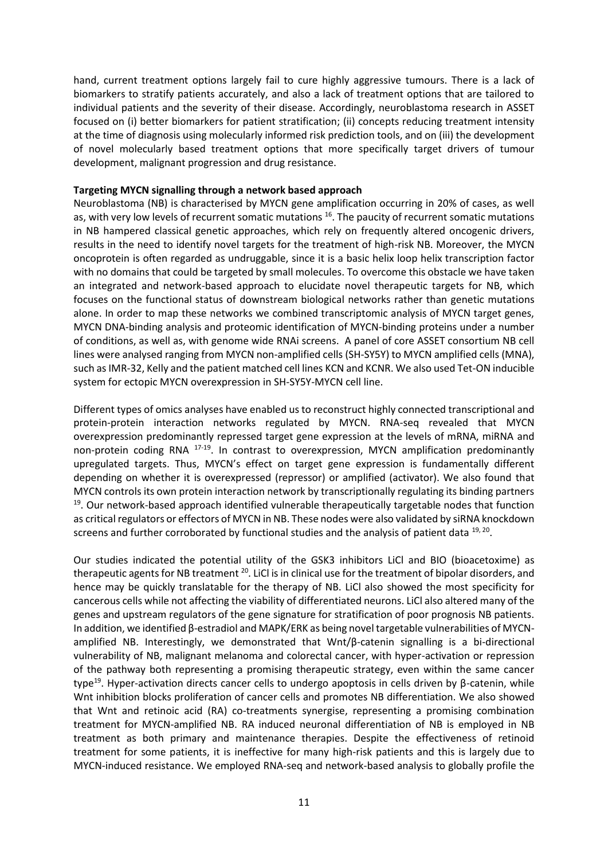hand, current treatment options largely fail to cure highly aggressive tumours. There is a lack of biomarkers to stratify patients accurately, and also a lack of treatment options that are tailored to individual patients and the severity of their disease. Accordingly, neuroblastoma research in ASSET focused on (i) better biomarkers for patient stratification; (ii) concepts reducing treatment intensity at the time of diagnosis using molecularly informed risk prediction tools, and on (iii) the development of novel molecularly based treatment options that more specifically target drivers of tumour development, malignant progression and drug resistance.

### **Targeting MYCN signalling through a network based approach**

Neuroblastoma (NB) is characterised by MYCN gene amplification occurring in 20% of cases, as well as, with very low levels of recurrent somatic mutations <sup>16</sup>. The paucity of recurrent somatic mutations in NB hampered classical genetic approaches, which rely on frequently altered oncogenic drivers, results in the need to identify novel targets for the treatment of high-risk NB. Moreover, the MYCN oncoprotein is often regarded as undruggable, since it is a basic helix loop helix transcription factor with no domains that could be targeted by small molecules. To overcome this obstacle we have taken an integrated and network-based approach to elucidate novel therapeutic targets for NB, which focuses on the functional status of downstream biological networks rather than genetic mutations alone. In order to map these networks we combined transcriptomic analysis of MYCN target genes, MYCN DNA-binding analysis and proteomic identification of MYCN-binding proteins under a number of conditions, as well as, with genome wide RNAi screens. A panel of core ASSET consortium NB cell lines were analysed ranging from MYCN non-amplified cells (SH-SY5Y) to MYCN amplified cells (MNA), such as IMR-32, Kelly and the patient matched cell lines KCN and KCNR. We also used Tet-ON inducible system for ectopic MYCN overexpression in SH-SY5Y-MYCN cell line.

Different types of omics analyses have enabled us to reconstruct highly connected transcriptional and protein-protein interaction networks regulated by MYCN. RNA-seq revealed that MYCN overexpression predominantly repressed target gene expression at the levels of mRNA, miRNA and non-protein coding RNA <sup>17-19</sup>. In contrast to overexpression, MYCN amplification predominantly upregulated targets. Thus, MYCN's effect on target gene expression is fundamentally different depending on whether it is overexpressed (repressor) or amplified (activator). We also found that MYCN controls its own protein interaction network by transcriptionally regulating its binding partners  $19$ . Our network-based approach identified vulnerable therapeutically targetable nodes that function as critical regulators or effectors of MYCN in NB. These nodes were also validated by siRNA knockdown screens and further corroborated by functional studies and the analysis of patient data  $^{19,20}$ .

Our studies indicated the potential utility of the GSK3 inhibitors LiCl and BIO (bioacetoxime) as therapeutic agents for NB treatment <sup>20</sup>. LiCl is in clinical use for the treatment of bipolar disorders, and hence may be quickly translatable for the therapy of NB. LiCl also showed the most specificity for cancerous cells while not affecting the viability of differentiated neurons. LiCl also altered many of the genes and upstream regulators of the gene signature for stratification of poor prognosis NB patients. In addition, we identified β-estradiol and MAPK/ERK as being novel targetable vulnerabilities of MYCNamplified NB. Interestingly, we demonstrated that Wnt/β-catenin signalling is a bi-directional vulnerability of NB, malignant melanoma and colorectal cancer, with hyper-activation or repression of the pathway both representing a promising therapeutic strategy, even within the same cancer type<sup>19</sup>. Hyper-activation directs cancer cells to undergo apoptosis in cells driven by β-catenin, while Wnt inhibition blocks proliferation of cancer cells and promotes NB differentiation. We also showed that Wnt and retinoic acid (RA) co-treatments synergise, representing a promising combination treatment for MYCN-amplified NB. RA induced neuronal differentiation of NB is employed in NB treatment as both primary and maintenance therapies. Despite the effectiveness of retinoid treatment for some patients, it is ineffective for many high-risk patients and this is largely due to MYCN-induced resistance. We employed RNA-seq and network-based analysis to globally profile the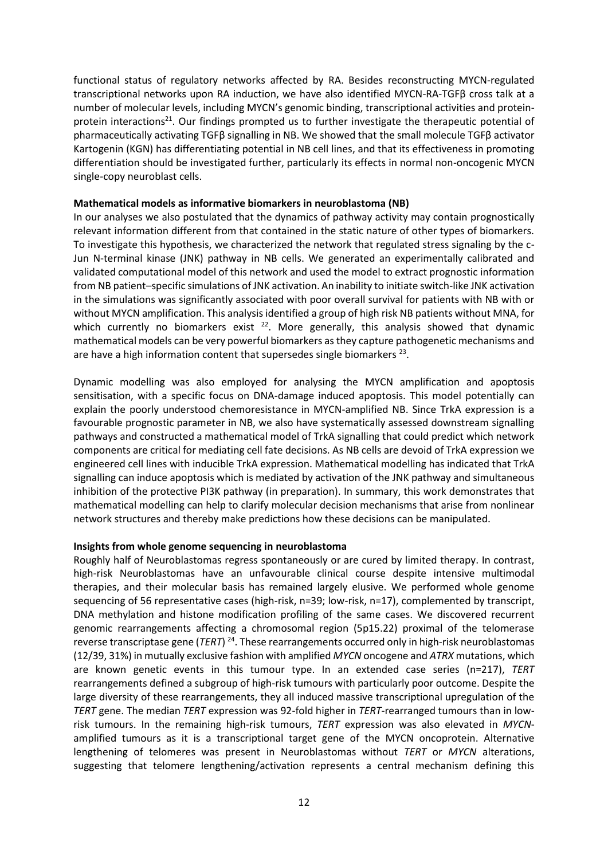functional status of regulatory networks affected by RA. Besides reconstructing MYCN-regulated transcriptional networks upon RA induction, we have also identified MYCN-RA-TGFβ cross talk at a number of molecular levels, including MYCN's genomic binding, transcriptional activities and proteinprotein interactions<sup>21</sup>. Our findings prompted us to further investigate the therapeutic potential of pharmaceutically activating TGFβ signalling in NB. We showed that the small molecule TGFβ activator Kartogenin (KGN) has differentiating potential in NB cell lines, and that its effectiveness in promoting differentiation should be investigated further, particularly its effects in normal non-oncogenic MYCN single-copy neuroblast cells.

### **Mathematical models as informative biomarkers in neuroblastoma (NB)**

In our analyses we also postulated that the dynamics of pathway activity may contain prognostically relevant information different from that contained in the static nature of other types of biomarkers. To investigate this hypothesis, we characterized the network that regulated stress signaling by the c-Jun N-terminal kinase (JNK) pathway in NB cells. We generated an experimentally calibrated and validated computational model of this network and used the model to extract prognostic information from NB patient–specific simulations of JNK activation. An inability to initiate switch-like JNK activation in the simulations was significantly associated with poor overall survival for patients with NB with or without MYCN amplification. This analysis identified a group of high risk NB patients without MNA, for which currently no biomarkers exist  $22$ . More generally, this analysis showed that dynamic mathematical models can be very powerful biomarkers as they capture pathogenetic mechanisms and are have a high information content that supersedes single biomarkers  $^{23}$ .

Dynamic modelling was also employed for analysing the MYCN amplification and apoptosis sensitisation, with a specific focus on DNA-damage induced apoptosis. This model potentially can explain the poorly understood chemoresistance in MYCN-amplified NB. Since TrkA expression is a favourable prognostic parameter in NB, we also have systematically assessed downstream signalling pathways and constructed a mathematical model of TrkA signalling that could predict which network components are critical for mediating cell fate decisions. As NB cells are devoid of TrkA expression we engineered cell lines with inducible TrkA expression. Mathematical modelling has indicated that TrkA signalling can induce apoptosis which is mediated by activation of the JNK pathway and simultaneous inhibition of the protective PI3K pathway (in preparation). In summary, this work demonstrates that mathematical modelling can help to clarify molecular decision mechanisms that arise from nonlinear network structures and thereby make predictions how these decisions can be manipulated.

### **Insights from whole genome sequencing in neuroblastoma**

Roughly half of Neuroblastomas regress spontaneously or are cured by limited therapy. In contrast, high-risk Neuroblastomas have an unfavourable clinical course despite intensive multimodal therapies, and their molecular basis has remained largely elusive. We performed whole genome sequencing of 56 representative cases (high-risk, n=39; low-risk, n=17), complemented by transcript, DNA methylation and histone modification profiling of the same cases. We discovered recurrent genomic rearrangements affecting a chromosomal region (5p15.22) proximal of the telomerase reverse transcriptase gene (*TERT*) <sup>24</sup>. These rearrangements occurred only in high-risk neuroblastomas (12/39, 31%) in mutually exclusive fashion with amplified *MYCN* oncogene and *ATRX* mutations, which are known genetic events in this tumour type. In an extended case series (n=217), *TERT* rearrangements defined a subgroup of high-risk tumours with particularly poor outcome. Despite the large diversity of these rearrangements, they all induced massive transcriptional upregulation of the *TERT* gene. The median *TERT* expression was 92-fold higher in *TERT*-rearranged tumours than in lowrisk tumours. In the remaining high-risk tumours, *TERT* expression was also elevated in *MYCN*amplified tumours as it is a transcriptional target gene of the MYCN oncoprotein. Alternative lengthening of telomeres was present in Neuroblastomas without *TERT* or *MYCN* alterations, suggesting that telomere lengthening/activation represents a central mechanism defining this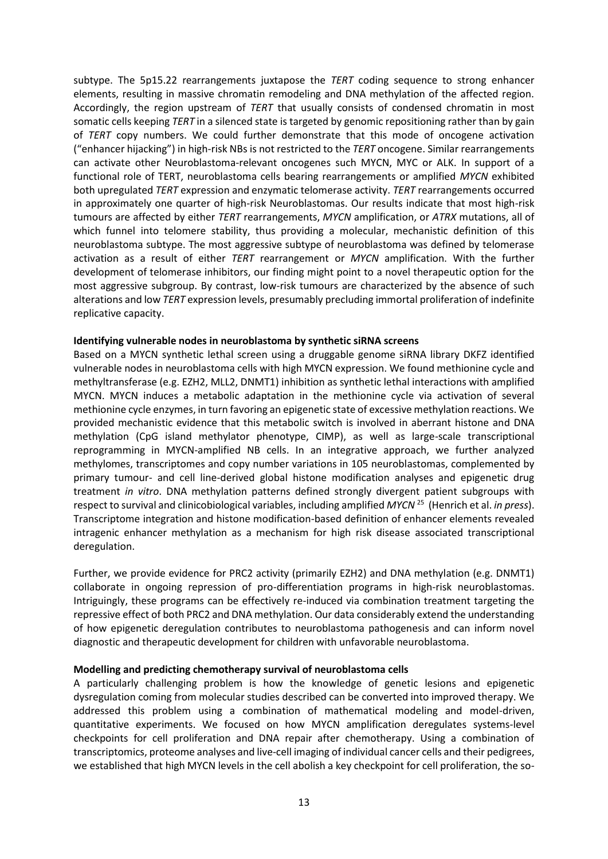subtype. The 5p15.22 rearrangements juxtapose the *TERT* coding sequence to strong enhancer elements, resulting in massive chromatin remodeling and DNA methylation of the affected region. Accordingly, the region upstream of *TERT* that usually consists of condensed chromatin in most somatic cells keeping *TERT* in a silenced state is targeted by genomic repositioning rather than by gain of *TERT* copy numbers. We could further demonstrate that this mode of oncogene activation ("enhancer hijacking") in high-risk NBs is not restricted to the *TERT* oncogene. Similar rearrangements can activate other Neuroblastoma-relevant oncogenes such MYCN, MYC or ALK. In support of a functional role of TERT, neuroblastoma cells bearing rearrangements or amplified *MYCN* exhibited both upregulated *TERT* expression and enzymatic telomerase activity. *TERT* rearrangements occurred in approximately one quarter of high-risk Neuroblastomas. Our results indicate that most high-risk tumours are affected by either *TERT* rearrangements, *MYCN* amplification, or *ATRX* mutations, all of which funnel into telomere stability, thus providing a molecular, mechanistic definition of this neuroblastoma subtype. The most aggressive subtype of neuroblastoma was defined by telomerase activation as a result of either *TERT* rearrangement or *MYCN* amplification. With the further development of telomerase inhibitors, our finding might point to a novel therapeutic option for the most aggressive subgroup. By contrast, low-risk tumours are characterized by the absence of such alterations and low *TERT* expression levels, presumably precluding immortal proliferation of indefinite replicative capacity.

#### **Identifying vulnerable nodes in neuroblastoma by synthetic siRNA screens**

Based on a MYCN synthetic lethal screen using a druggable genome siRNA library DKFZ identified vulnerable nodes in neuroblastoma cells with high MYCN expression. We found methionine cycle and methyltransferase (e.g. EZH2, MLL2, DNMT1) inhibition as synthetic lethal interactions with amplified MYCN. MYCN induces a metabolic adaptation in the methionine cycle via activation of several methionine cycle enzymes, in turn favoring an epigenetic state of excessive methylation reactions. We provided mechanistic evidence that this metabolic switch is involved in aberrant histone and DNA methylation (CpG island methylator phenotype, CIMP), as well as large-scale transcriptional reprogramming in MYCN-amplified NB cells. In an integrative approach, we further analyzed methylomes, transcriptomes and copy number variations in 105 neuroblastomas, complemented by primary tumour- and cell line-derived global histone modification analyses and epigenetic drug treatment *in vitro*. DNA methylation patterns defined strongly divergent patient subgroups with respect to survival and clinicobiological variables, including amplified *MYCN* <sup>25</sup> (Henrich et al. *in press*). Transcriptome integration and histone modification-based definition of enhancer elements revealed intragenic enhancer methylation as a mechanism for high risk disease associated transcriptional deregulation.

Further, we provide evidence for PRC2 activity (primarily EZH2) and DNA methylation (e.g. DNMT1) collaborate in ongoing repression of pro-differentiation programs in high-risk neuroblastomas. Intriguingly, these programs can be effectively re-induced via combination treatment targeting the repressive effect of both PRC2 and DNA methylation. Our data considerably extend the understanding of how epigenetic deregulation contributes to neuroblastoma pathogenesis and can inform novel diagnostic and therapeutic development for children with unfavorable neuroblastoma.

#### **Modelling and predicting chemotherapy survival of neuroblastoma cells**

A particularly challenging problem is how the knowledge of genetic lesions and epigenetic dysregulation coming from molecular studies described can be converted into improved therapy. We addressed this problem using a combination of mathematical modeling and model-driven, quantitative experiments. We focused on how MYCN amplification deregulates systems-level checkpoints for cell proliferation and DNA repair after chemotherapy. Using a combination of transcriptomics, proteome analyses and live-cell imaging of individual cancer cells and their pedigrees, we established that high MYCN levels in the cell abolish a key checkpoint for cell proliferation, the so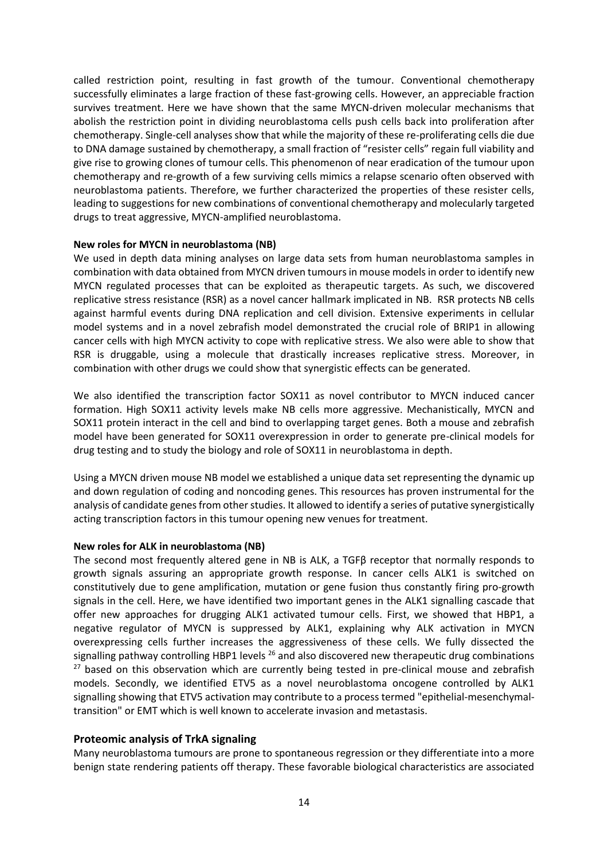called restriction point, resulting in fast growth of the tumour. Conventional chemotherapy successfully eliminates a large fraction of these fast-growing cells. However, an appreciable fraction survives treatment. Here we have shown that the same MYCN-driven molecular mechanisms that abolish the restriction point in dividing neuroblastoma cells push cells back into proliferation after chemotherapy. Single-cell analyses show that while the majority of these re-proliferating cells die due to DNA damage sustained by chemotherapy, a small fraction of "resister cells" regain full viability and give rise to growing clones of tumour cells. This phenomenon of near eradication of the tumour upon chemotherapy and re-growth of a few surviving cells mimics a relapse scenario often observed with neuroblastoma patients. Therefore, we further characterized the properties of these resister cells, leading to suggestions for new combinations of conventional chemotherapy and molecularly targeted drugs to treat aggressive, MYCN-amplified neuroblastoma.

### **New roles for MYCN in neuroblastoma (NB)**

We used in depth data mining analyses on large data sets from human neuroblastoma samples in combination with data obtained from MYCN driven tumours in mouse models in order to identify new MYCN regulated processes that can be exploited as therapeutic targets. As such, we discovered replicative stress resistance (RSR) as a novel cancer hallmark implicated in NB. RSR protects NB cells against harmful events during DNA replication and cell division. Extensive experiments in cellular model systems and in a novel zebrafish model demonstrated the crucial role of BRIP1 in allowing cancer cells with high MYCN activity to cope with replicative stress. We also were able to show that RSR is druggable, using a molecule that drastically increases replicative stress. Moreover, in combination with other drugs we could show that synergistic effects can be generated.

We also identified the transcription factor SOX11 as novel contributor to MYCN induced cancer formation. High SOX11 activity levels make NB cells more aggressive. Mechanistically, MYCN and SOX11 protein interact in the cell and bind to overlapping target genes. Both a mouse and zebrafish model have been generated for SOX11 overexpression in order to generate pre-clinical models for drug testing and to study the biology and role of SOX11 in neuroblastoma in depth.

Using a MYCN driven mouse NB model we established a unique data set representing the dynamic up and down regulation of coding and noncoding genes. This resources has proven instrumental for the analysis of candidate genes from other studies. It allowed to identify a series of putative synergistically acting transcription factors in this tumour opening new venues for treatment.

### **New roles for ALK in neuroblastoma (NB)**

The second most frequently altered gene in NB is ALK, a TGFβ receptor that normally responds to growth signals assuring an appropriate growth response. In cancer cells ALK1 is switched on constitutively due to gene amplification, mutation or gene fusion thus constantly firing pro-growth signals in the cell. Here, we have identified two important genes in the ALK1 signalling cascade that offer new approaches for drugging ALK1 activated tumour cells. First, we showed that HBP1, a negative regulator of MYCN is suppressed by ALK1, explaining why ALK activation in MYCN overexpressing cells further increases the aggressiveness of these cells. We fully dissected the signalling pathway controlling HBP1 levels  $^{26}$  and also discovered new therapeutic drug combinations <sup>27</sup> based on this observation which are currently being tested in pre-clinical mouse and zebrafish models. Secondly, we identified ETV5 as a novel neuroblastoma oncogene controlled by ALK1 signalling showing that ETV5 activation may contribute to a process termed "epithelial-mesenchymaltransition" or EMT which is well known to accelerate invasion and metastasis.

### **Proteomic analysis of TrkA signaling**

Many neuroblastoma tumours are prone to spontaneous regression or they differentiate into a more benign state rendering patients off therapy. These favorable biological characteristics are associated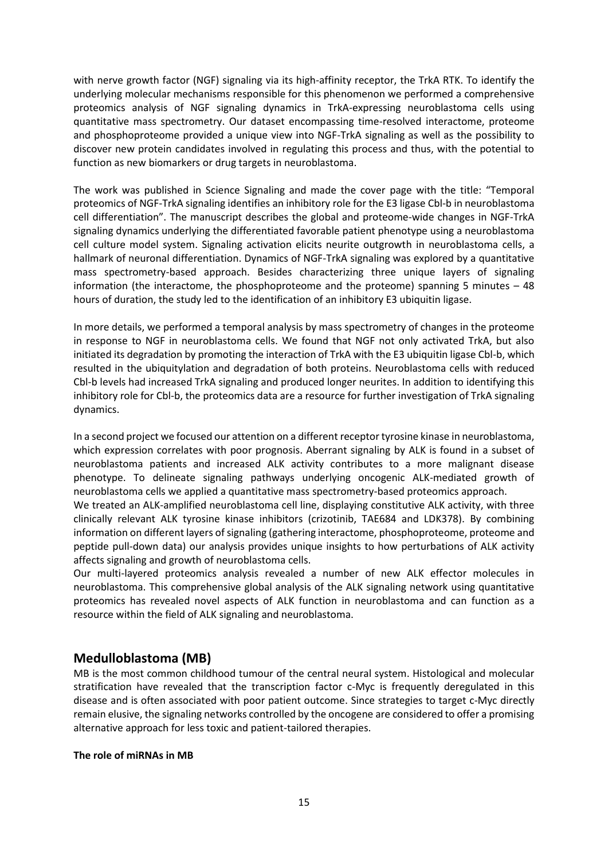with nerve growth factor (NGF) signaling via its high-affinity receptor, the TrkA RTK. To identify the underlying molecular mechanisms responsible for this phenomenon we performed a comprehensive proteomics analysis of NGF signaling dynamics in TrkA-expressing neuroblastoma cells using quantitative mass spectrometry. Our dataset encompassing time-resolved interactome, proteome and phosphoproteome provided a unique view into NGF-TrkA signaling as well as the possibility to discover new protein candidates involved in regulating this process and thus, with the potential to function as new biomarkers or drug targets in neuroblastoma.

The work was published in Science Signaling and made the cover page with the title: "Temporal proteomics of NGF-TrkA signaling identifies an inhibitory role for the E3 ligase Cbl-b in neuroblastoma cell differentiation". The manuscript describes the global and proteome-wide changes in NGF-TrkA signaling dynamics underlying the differentiated favorable patient phenotype using a neuroblastoma cell culture model system. Signaling activation elicits neurite outgrowth in neuroblastoma cells, a hallmark of neuronal differentiation. Dynamics of NGF-TrkA signaling was explored by a quantitative mass spectrometry-based approach. Besides characterizing three unique layers of signaling information (the interactome, the phosphoproteome and the proteome) spanning 5 minutes  $-48$ hours of duration, the study led to the identification of an inhibitory E3 ubiquitin ligase.

In more details, we performed a temporal analysis by mass spectrometry of changes in the proteome in response to NGF in neuroblastoma cells. We found that NGF not only activated TrkA, but also initiated its degradation by promoting the interaction of TrkA with the E3 ubiquitin ligase Cbl-b, which resulted in the ubiquitylation and degradation of both proteins. Neuroblastoma cells with reduced Cbl-b levels had increased TrkA signaling and produced longer neurites. In addition to identifying this inhibitory role for Cbl-b, the proteomics data are a resource for further investigation of TrkA signaling dynamics.

In a second project we focused our attention on a different receptor tyrosine kinase in neuroblastoma, which expression correlates with poor prognosis. Aberrant signaling by ALK is found in a subset of neuroblastoma patients and increased ALK activity contributes to a more malignant disease phenotype. To delineate signaling pathways underlying oncogenic ALK-mediated growth of neuroblastoma cells we applied a quantitative mass spectrometry-based proteomics approach.

We treated an ALK-amplified neuroblastoma cell line, displaying constitutive ALK activity, with three clinically relevant ALK tyrosine kinase inhibitors (crizotinib, TAE684 and LDK378). By combining information on different layers of signaling (gathering interactome, phosphoproteome, proteome and peptide pull-down data) our analysis provides unique insights to how perturbations of ALK activity affects signaling and growth of neuroblastoma cells.

Our multi-layered proteomics analysis revealed a number of new ALK effector molecules in neuroblastoma. This comprehensive global analysis of the ALK signaling network using quantitative proteomics has revealed novel aspects of ALK function in neuroblastoma and can function as a resource within the field of ALK signaling and neuroblastoma.

### **Medulloblastoma (MB)**

MB is the most common childhood tumour of the central neural system. Histological and molecular stratification have revealed that the transcription factor c-Myc is frequently deregulated in this disease and is often associated with poor patient outcome. Since strategies to target c-Myc directly remain elusive, the signaling networks controlled by the oncogene are considered to offer a promising alternative approach for less toxic and patient-tailored therapies.

### **The role of miRNAs in MB**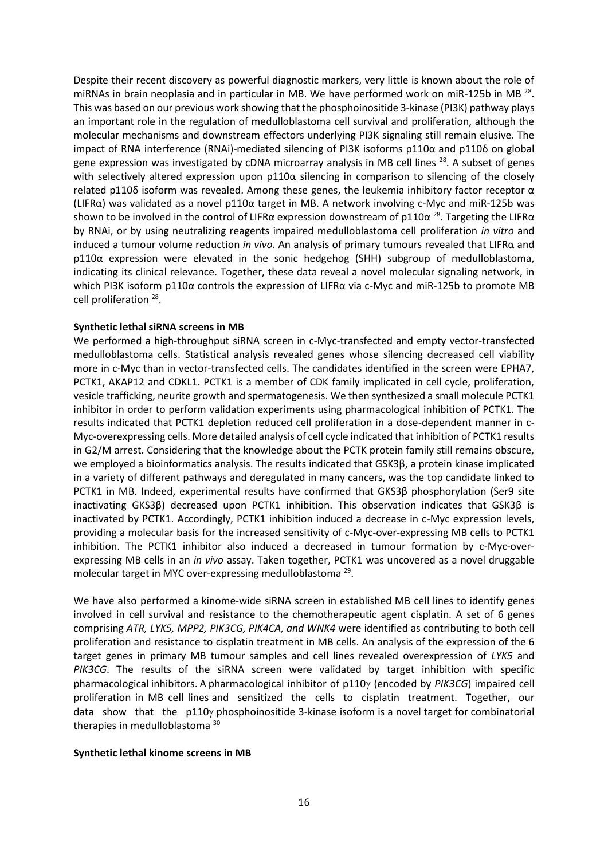Despite their recent discovery as powerful diagnostic markers, very little is known about the role of miRNAs in brain neoplasia and in particular in MB. We have performed work on miR-125b in MB<sup>28</sup>. This was based on our previous work showing that the phosphoinositide 3-kinase (PI3K) pathway plays an important role in the regulation of medulloblastoma cell survival and proliferation, although the molecular mechanisms and downstream effectors underlying PI3K signaling still remain elusive. The impact of RNA interference (RNAi)-mediated silencing of PI3K isoforms p110α and p110δ on global gene expression was investigated by cDNA microarray analysis in MB cell lines <sup>28</sup>. A subset of genes with selectively altered expression upon p110α silencing in comparison to silencing of the closely related p110δ isoform was revealed. Among these genes, the leukemia inhibitory factor receptor  $α$ (LIFRα) was validated as a novel p110α target in MB. A network involving c-Myc and miR-125b was shown to be involved in the control of LIFR $\alpha$  expression downstream of p110 $\alpha$  <sup>28</sup>. Targeting the LIFR $\alpha$ by RNAi, or by using neutralizing reagents impaired medulloblastoma cell proliferation *in vitro* and induced a tumour volume reduction *in vivo*. An analysis of primary tumours revealed that LIFRα and p110α expression were elevated in the sonic hedgehog (SHH) subgroup of medulloblastoma, indicating its clinical relevance. Together, these data reveal a novel molecular signaling network, in which PI3K isoform p110α controls the expression of LIFRα via c-Myc and miR-125b to promote MB cell proliferation<sup>28</sup>.

### **Synthetic lethal siRNA screens in MB**

We performed a high-throughput siRNA screen in c-Myc-transfected and empty vector-transfected medulloblastoma cells. Statistical analysis revealed genes whose silencing decreased cell viability more in c-Myc than in vector-transfected cells. The candidates identified in the screen were EPHA7, PCTK1, AKAP12 and CDKL1. PCTK1 is a member of CDK family implicated in cell cycle, proliferation, vesicle trafficking, neurite growth and spermatogenesis. We then synthesized a small molecule PCTK1 inhibitor in order to perform validation experiments using pharmacological inhibition of PCTK1. The results indicated that PCTK1 depletion reduced cell proliferation in a dose-dependent manner in c-Myc-overexpressing cells. More detailed analysis of cell cycle indicated that inhibition of PCTK1 results in G2/M arrest. Considering that the knowledge about the PCTK protein family still remains obscure, we employed a bioinformatics analysis. The results indicated that GSK3β, a protein kinase implicated in a variety of different pathways and deregulated in many cancers, was the top candidate linked to PCTK1 in MB. Indeed, experimental results have confirmed that GKS3β phosphorylation (Ser9 site inactivating GKS3β) decreased upon PCTK1 inhibition. This observation indicates that GSK3β is inactivated by PCTK1. Accordingly, PCTK1 inhibition induced a decrease in c-Myc expression levels, providing a molecular basis for the increased sensitivity of c-Myc-over-expressing MB cells to PCTK1 inhibition. The PCTK1 inhibitor also induced a decreased in tumour formation by c-Myc-overexpressing MB cells in an *in vivo* assay. Taken together, PCTK1 was uncovered as a novel druggable molecular target in MYC over-expressing medulloblastoma<sup>29</sup>.

We have also performed a kinome-wide siRNA screen in established MB cell lines to identify genes involved in cell survival and resistance to the chemotherapeutic agent cisplatin. A set of 6 genes comprising *ATR, LYK5, MPP2, PIK3CG, PIK4CA, and WNK4* were identified as contributing to both cell proliferation and resistance to cisplatin treatment in MB cells. An analysis of the expression of the 6 target genes in primary MB tumour samples and cell lines revealed overexpression of *LYK5* and *PIK3CG*. The results of the siRNA screen were validated by target inhibition with specific pharmacological inhibitors. A pharmacological inhibitor of p110 $\gamma$  (encoded by *PIK3CG*) impaired cell proliferation in MB cell lines and sensitized the cells to cisplatin treatment. Together, our data show that the  $p110y$  phosphoinositide 3-kinase isoform is a novel target for combinatorial therapies in medulloblastoma 30

### **Synthetic lethal kinome screens in MB**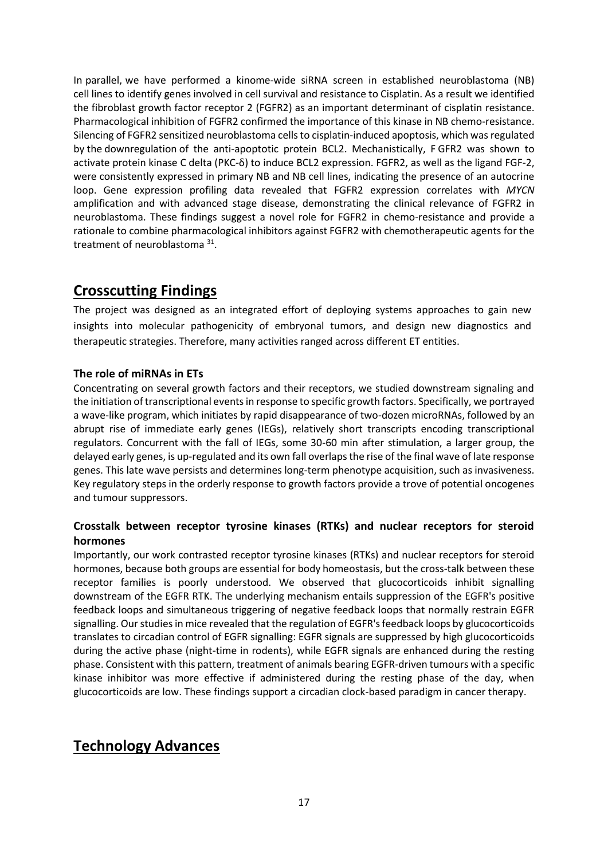In parallel, we have performed a kinome-wide siRNA screen in established neuroblastoma (NB) cell lines to identify genes involved in cell survival and resistance to Cisplatin. As a result we identified the fibroblast growth factor receptor 2 (FGFR2) as an important determinant of cisplatin resistance. Pharmacological inhibition of FGFR2 confirmed the importance of this kinase in NB chemo-resistance. Silencing of FGFR2 sensitized neuroblastoma cells to cisplatin-induced apoptosis, which was regulated by the downregulation of the anti-apoptotic protein BCL2. Mechanistically, F GFR2 was shown to activate protein kinase C delta (PKC-δ) to induce BCL2 expression. FGFR2, as well as the ligand FGF-2, were consistently expressed in primary NB and NB cell lines, indicating the presence of an autocrine loop. Gene expression profiling data revealed that FGFR2 expression correlates with *MYCN* amplification and with advanced stage disease, demonstrating the clinical relevance of FGFR2 in neuroblastoma. These findings suggest a novel role for FGFR2 in chemo-resistance and provide a rationale to combine pharmacological inhibitors against FGFR2 with chemotherapeutic agents for the treatment of neuroblastoma<sup>31</sup>.

### **Crosscutting Findings**

The project was designed as an integrated effort of deploying systems approaches to gain new insights into molecular pathogenicity of embryonal tumors, and design new diagnostics and therapeutic strategies. Therefore, many activities ranged across different ET entities.

### **The role of miRNAs in ETs**

Concentrating on several growth factors and their receptors, we studied downstream signaling and the initiation of transcriptional events in response to specific growth factors. Specifically, we portrayed a wave-like program, which initiates by rapid disappearance of two-dozen microRNAs, followed by an abrupt rise of immediate early genes (IEGs), relatively short transcripts encoding transcriptional regulators. Concurrent with the fall of IEGs, some 30-60 min after stimulation, a larger group, the delayed early genes, is up-regulated and its own fall overlaps the rise of the final wave of late response genes. This late wave persists and determines long-term phenotype acquisition, such as invasiveness. Key regulatory steps in the orderly response to growth factors provide a trove of potential oncogenes and tumour suppressors.

### **Crosstalk between receptor tyrosine kinases (RTKs) and nuclear receptors for steroid hormones**

Importantly, our work contrasted receptor tyrosine kinases (RTKs) and nuclear receptors for steroid hormones, because both groups are essential for body homeostasis, but the cross-talk between these receptor families is poorly understood. We observed that glucocorticoids inhibit signalling downstream of the EGFR RTK. The underlying mechanism entails suppression of the EGFR's positive feedback loops and simultaneous triggering of negative feedback loops that normally restrain EGFR signalling. Our studies in mice revealed that the regulation of EGFR's feedback loops by glucocorticoids translates to circadian control of EGFR signalling: EGFR signals are suppressed by high glucocorticoids during the active phase (night-time in rodents), while EGFR signals are enhanced during the resting phase. Consistent with this pattern, treatment of animals bearing EGFR-driven tumours with a specific kinase inhibitor was more effective if administered during the resting phase of the day, when glucocorticoids are low. These findings support a circadian clock-based paradigm in cancer therapy.

### **Technology Advances**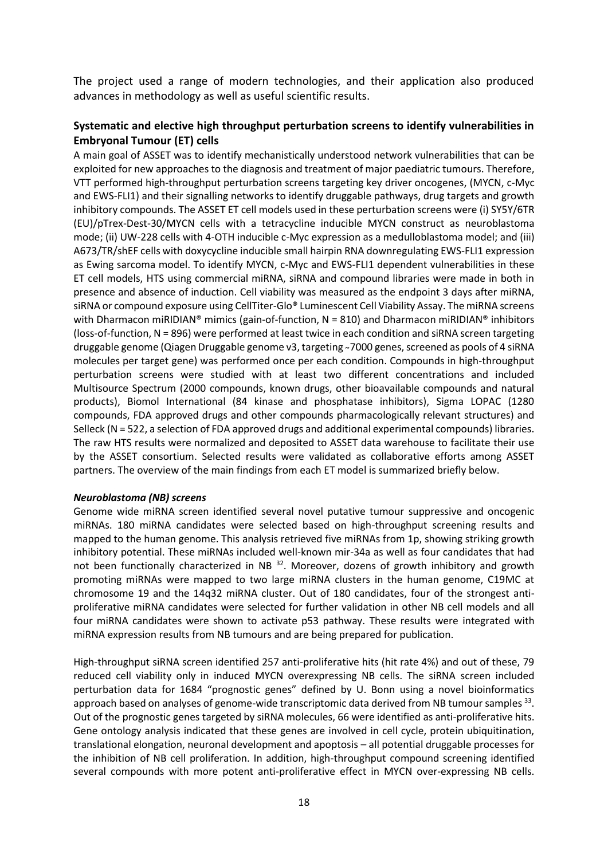The project used a range of modern technologies, and their application also produced advances in methodology as well as useful scientific results.

### **Systematic and elective high throughput perturbation screens to identify vulnerabilities in Embryonal Tumour (ET) cells**

A main goal of ASSET was to identify mechanistically understood network vulnerabilities that can be exploited for new approaches to the diagnosis and treatment of major paediatric tumours. Therefore, VTT performed high-throughput perturbation screens targeting key driver oncogenes, (MYCN, c-Myc and EWS-FLI1) and their signalling networks to identify druggable pathways, drug targets and growth inhibitory compounds. The ASSET ET cell models used in these perturbation screens were (i) SY5Y/6TR (EU)/pTrex-Dest-30/MYCN cells with a tetracycline inducible MYCN construct as neuroblastoma mode; (ii) UW-228 cells with 4-OTH inducible c-Myc expression as a medulloblastoma model; and (iii) A673/TR/shEF cells with doxycycline inducible small hairpin RNA downregulating EWS-FLI1 expression as Ewing sarcoma model. To identify MYCN, c-Myc and EWS-FLI1 dependent vulnerabilities in these ET cell models, HTS using commercial miRNA, siRNA and compound libraries were made in both in presence and absence of induction. Cell viability was measured as the endpoint 3 days after miRNA, siRNA or compound exposure using CellTiter-Glo® Luminescent Cell Viability Assay. The miRNA screens with Dharmacon miRIDIAN® mimics (gain-of-function,  $N = 810$ ) and Dharmacon miRIDIAN® inhibitors (loss-of-function, N = 896) were performed at least twice in each condition and siRNA screen targeting druggable genome (Qiagen Druggable genome v3, targeting ~7000 genes, screened as pools of 4 siRNA molecules per target gene) was performed once per each condition. Compounds in high-throughput perturbation screens were studied with at least two different concentrations and included Multisource Spectrum (2000 compounds, known drugs, other bioavailable compounds and natural products), Biomol International (84 kinase and phosphatase inhibitors), Sigma LOPAC (1280 compounds, FDA approved drugs and other compounds pharmacologically relevant structures) and Selleck (N = 522, a selection of FDA approved drugs and additional experimental compounds) libraries. The raw HTS results were normalized and deposited to ASSET data warehouse to facilitate their use by the ASSET consortium. Selected results were validated as collaborative efforts among ASSET partners. The overview of the main findings from each ET model is summarized briefly below.

### *Neuroblastoma (NB) screens*

Genome wide miRNA screen identified several novel putative tumour suppressive and oncogenic miRNAs. 180 miRNA candidates were selected based on high-throughput screening results and mapped to the human genome. This analysis retrieved five miRNAs from 1p, showing striking growth inhibitory potential. These miRNAs included well-known mir-34a as well as four candidates that had not been functionally characterized in NB  $^{32}$ . Moreover, dozens of growth inhibitory and growth promoting miRNAs were mapped to two large miRNA clusters in the human genome, C19MC at chromosome 19 and the 14q32 miRNA cluster. Out of 180 candidates, four of the strongest antiproliferative miRNA candidates were selected for further validation in other NB cell models and all four miRNA candidates were shown to activate p53 pathway. These results were integrated with miRNA expression results from NB tumours and are being prepared for publication.

High-throughput siRNA screen identified 257 anti-proliferative hits (hit rate 4%) and out of these, 79 reduced cell viability only in induced MYCN overexpressing NB cells. The siRNA screen included perturbation data for 1684 "prognostic genes" defined by U. Bonn using a novel bioinformatics approach based on analyses of genome-wide transcriptomic data derived from NB tumour samples <sup>33</sup>. Out of the prognostic genes targeted by siRNA molecules, 66 were identified as anti-proliferative hits. Gene ontology analysis indicated that these genes are involved in cell cycle, protein ubiquitination, translational elongation, neuronal development and apoptosis – all potential druggable processes for the inhibition of NB cell proliferation. In addition, high-throughput compound screening identified several compounds with more potent anti-proliferative effect in MYCN over-expressing NB cells.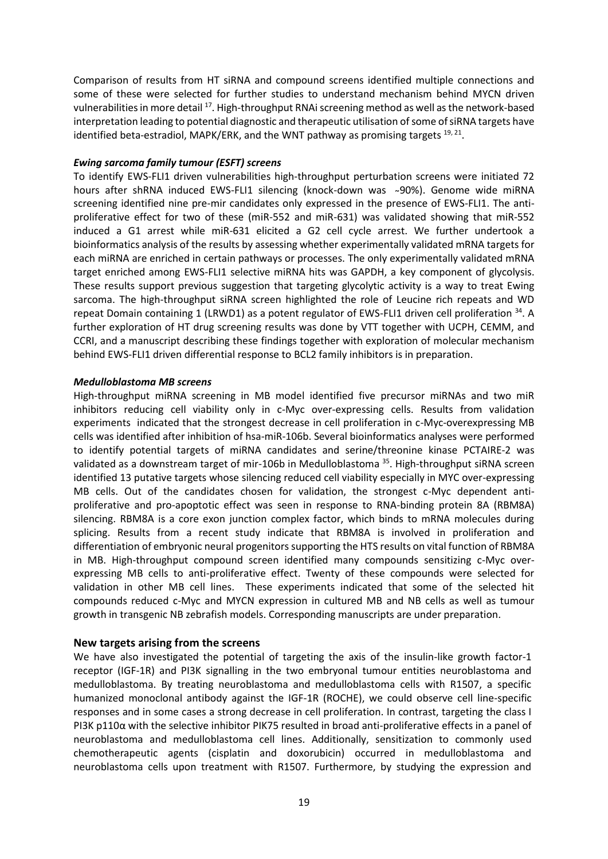Comparison of results from HT siRNA and compound screens identified multiple connections and some of these were selected for further studies to understand mechanism behind MYCN driven vulnerabilities in more detail <sup>17</sup>. High-throughput RNAi screening method as well as the network-based interpretation leading to potential diagnostic and therapeutic utilisation of some of siRNA targets have identified beta-estradiol, MAPK/ERK, and the WNT pathway as promising targets <sup>19, 21</sup>.

### *Ewing sarcoma family tumour (ESFT) screens*

To identify EWS-FLI1 driven vulnerabilities high-throughput perturbation screens were initiated 72 hours after shRNA induced EWS-FLI1 silencing (knock-down was ~90%). Genome wide miRNA screening identified nine pre-mir candidates only expressed in the presence of EWS-FLI1. The antiproliferative effect for two of these (miR-552 and miR-631) was validated showing that miR-552 induced a G1 arrest while miR-631 elicited a G2 cell cycle arrest. We further undertook a bioinformatics analysis of the results by assessing whether experimentally validated mRNA targets for each miRNA are enriched in certain pathways or processes. The only experimentally validated mRNA target enriched among EWS-FLI1 selective miRNA hits was GAPDH, a key component of glycolysis. These results support previous suggestion that targeting glycolytic activity is a way to treat Ewing sarcoma. The high-throughput siRNA screen highlighted the role of Leucine rich repeats and WD repeat Domain containing 1 (LRWD1) as a potent regulator of EWS-FLI1 driven cell proliferation <sup>34</sup>. A further exploration of HT drug screening results was done by VTT together with UCPH, CEMM, and CCRI, and a manuscript describing these findings together with exploration of molecular mechanism behind EWS-FLI1 driven differential response to BCL2 family inhibitors is in preparation.

### *Medulloblastoma MB screens*

High-throughput miRNA screening in MB model identified five precursor miRNAs and two miR inhibitors reducing cell viability only in c-Myc over-expressing cells. Results from validation experiments indicated that the strongest decrease in cell proliferation in c-Myc-overexpressing MB cells was identified after inhibition of hsa-miR-106b. Several bioinformatics analyses were performed to identify potential targets of miRNA candidates and serine/threonine kinase PCTAIRE-2 was validated as a downstream target of mir-106b in Medulloblastoma <sup>35</sup>. High-throughput siRNA screen identified 13 putative targets whose silencing reduced cell viability especially in MYC over-expressing MB cells. Out of the candidates chosen for validation, the strongest c-Myc dependent antiproliferative and pro-apoptotic effect was seen in response to RNA-binding protein 8A (RBM8A) silencing. RBM8A is a core exon junction complex factor, which binds to mRNA molecules during splicing. Results from a recent study indicate that RBM8A is involved in proliferation and differentiation of embryonic neural progenitors supporting the HTS results on vital function of RBM8A in MB. High-throughput compound screen identified many compounds sensitizing c-Myc overexpressing MB cells to anti-proliferative effect. Twenty of these compounds were selected for validation in other MB cell lines. These experiments indicated that some of the selected hit compounds reduced c-Myc and MYCN expression in cultured MB and NB cells as well as tumour growth in transgenic NB zebrafish models. Corresponding manuscripts are under preparation.

### **New targets arising from the screens**

We have also investigated the potential of targeting the axis of the insulin-like growth factor-1 receptor (IGF-1R) and PI3K signalling in the two embryonal tumour entities neuroblastoma and medulloblastoma. By treating neuroblastoma and medulloblastoma cells with R1507, a specific humanized monoclonal antibody against the IGF-1R (ROCHE), we could observe cell line-specific responses and in some cases a strong decrease in cell proliferation. In contrast, targeting the class I PI3K p110α with the selective inhibitor PIK75 resulted in broad anti-proliferative effects in a panel of neuroblastoma and medulloblastoma cell lines. Additionally, sensitization to commonly used chemotherapeutic agents (cisplatin and doxorubicin) occurred in medulloblastoma and neuroblastoma cells upon treatment with R1507. Furthermore, by studying the expression and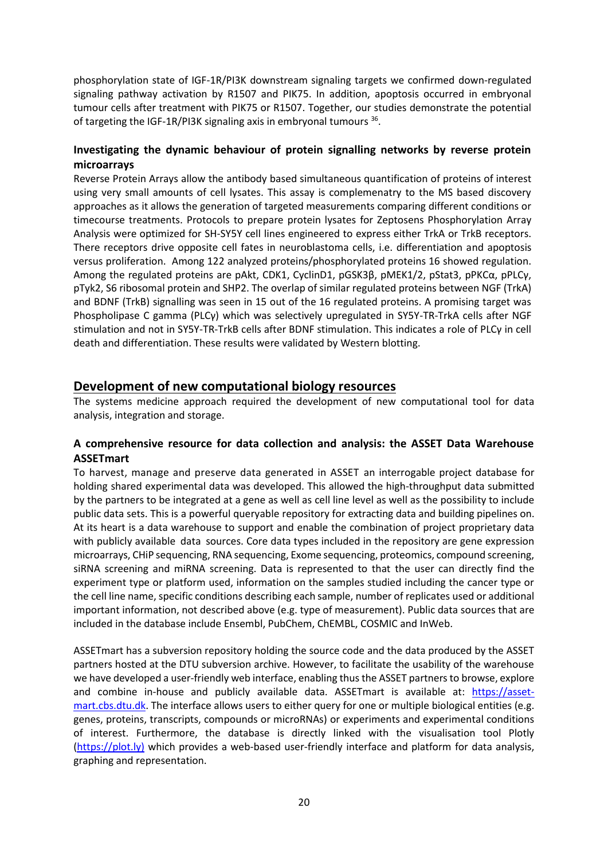phosphorylation state of IGF-1R/PI3K downstream signaling targets we confirmed down-regulated signaling pathway activation by R1507 and PIK75. In addition, apoptosis occurred in embryonal tumour cells after treatment with PIK75 or R1507. Together, our studies demonstrate the potential of targeting the IGF-1R/PI3K signaling axis in embryonal tumours 36.

### **Investigating the dynamic behaviour of protein signalling networks by reverse protein microarrays**

Reverse Protein Arrays allow the antibody based simultaneous quantification of proteins of interest using very small amounts of cell lysates. This assay is complemenatry to the MS based discovery approaches as it allows the generation of targeted measurements comparing different conditions or timecourse treatments. Protocols to prepare protein lysates for Zeptosens Phosphorylation Array Analysis were optimized for SH-SY5Y cell lines engineered to express either TrkA or TrkB receptors. There receptors drive opposite cell fates in neuroblastoma cells, i.e. differentiation and apoptosis versus proliferation. Among 122 analyzed proteins/phosphorylated proteins 16 showed regulation. Among the regulated proteins are pAkt, CDK1, CyclinD1, pGSK3β, pMEK1/2, pStat3, pPKCα, pPLCγ, pTyk2, S6 ribosomal protein and SHP2. The overlap of similar regulated proteins between NGF (TrkA) and BDNF (TrkB) signalling was seen in 15 out of the 16 regulated proteins. A promising target was Phospholipase C gamma (PLCγ) which was selectively upregulated in SY5Y-TR-TrkA cells after NGF stimulation and not in SY5Y-TR-TrkB cells after BDNF stimulation. This indicates a role of PLCγ in cell death and differentiation. These results were validated by Western blotting.

### **Development of new computational biology resources**

The systems medicine approach required the development of new computational tool for data analysis, integration and storage.

### **A comprehensive resource for data collection and analysis: the ASSET Data Warehouse ASSETmart**

To harvest, manage and preserve data generated in ASSET an interrogable project database for holding shared experimental data was developed. This allowed the high-throughput data submitted by the partners to be integrated at a gene as well as cell line level as well as the possibility to include public data sets. This is a powerful queryable repository for extracting data and building pipelines on. At its heart is a data warehouse to support and enable the combination of project proprietary data with publicly available data sources. Core data types included in the repository are gene expression microarrays, CHiP sequencing, RNA sequencing, Exome sequencing, proteomics, compound screening, siRNA screening and miRNA screening. Data is represented to that the user can directly find the experiment type or platform used, information on the samples studied including the cancer type or the cell line name, specific conditions describing each sample, number of replicates used or additional important information, not described above (e.g. type of measurement). Public data sources that are included in the database include Ensembl, PubChem, ChEMBL, COSMIC and InWeb.

ASSETmart has a subversion repository holding the source code and the data produced by the ASSET partners hosted at the DTU subversion archive. However, to facilitate the usability of the warehouse we have developed a user-friendly web interface, enabling thus the ASSET partners to browse, explore and combine in-house and publicly available data. ASSETmart is available at: [https://asset](https://asset-mart.cbs.dtu.dk/)[mart.cbs.dtu.dk.](https://asset-mart.cbs.dtu.dk/) The interface allows users to either query for one or multiple biological entities (e.g. genes, proteins, transcripts, compounds or microRNAs) or experiments and experimental conditions of interest. Furthermore, the database is directly linked with the visualisation tool Plotly [\(https://plot.ly\)](https://plot.ly)/) which provides a web-based user-friendly interface and platform for data analysis, graphing and representation.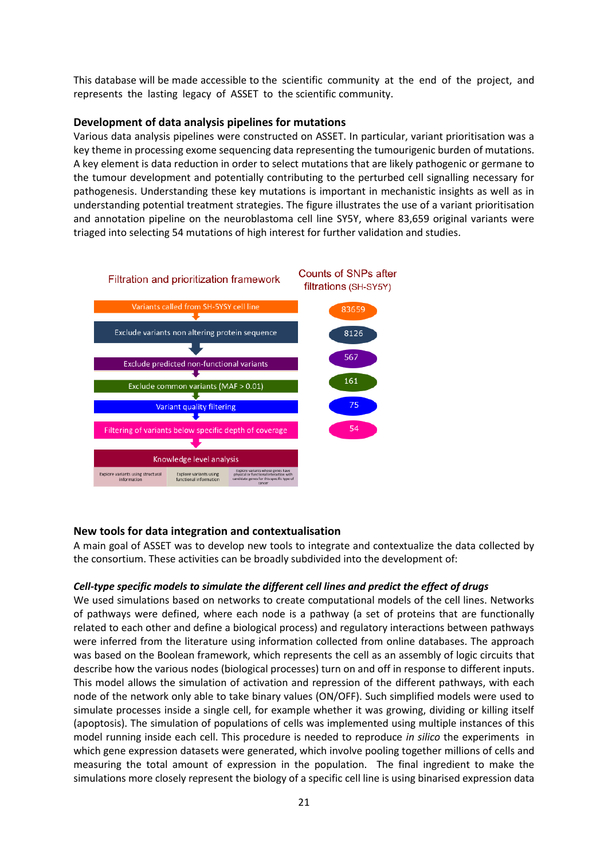This database will be made accessible to the scientific community at the end of the project, and represents the lasting legacy of ASSET to the scientific community.

### **Development of data analysis pipelines for mutations**

Various data analysis pipelines were constructed on ASSET. In particular, variant prioritisation was a key theme in processing exome sequencing data representing the tumourigenic burden of mutations. A key element is data reduction in order to select mutations that are likely pathogenic or germane to the tumour development and potentially contributing to the perturbed cell signalling necessary for pathogenesis. Understanding these key mutations is important in mechanistic insights as well as in understanding potential treatment strategies. The figure illustrates the use of a variant prioritisation and annotation pipeline on the neuroblastoma cell line SY5Y, where 83,659 original variants were triaged into selecting 54 mutations of high interest for further validation and studies.



### **New tools for data integration and contextualisation**

A main goal of ASSET was to develop new tools to integrate and contextualize the data collected by the consortium. These activities can be broadly subdivided into the development of:

### *Cell-type specific models to simulate the different cell lines and predict the effect of drugs*

We used simulations based on networks to create computational models of the cell lines. Networks of pathways were defined, where each node is a pathway (a set of proteins that are functionally related to each other and define a biological process) and regulatory interactions between pathways were inferred from the literature using information collected from online databases. The approach was based on the Boolean framework, which represents the cell as an assembly of logic circuits that describe how the various nodes (biological processes) turn on and off in response to different inputs. This model allows the simulation of activation and repression of the different pathways, with each node of the network only able to take binary values (ON/OFF). Such simplified models were used to simulate processes inside a single cell, for example whether it was growing, dividing or killing itself (apoptosis). The simulation of populations of cells was implemented using multiple instances of this model running inside each cell. This procedure is needed to reproduce *in silico* the experiments in which gene expression datasets were generated, which involve pooling together millions of cells and measuring the total amount of expression in the population. The final ingredient to make the simulations more closely represent the biology of a specific cell line is using binarised expression data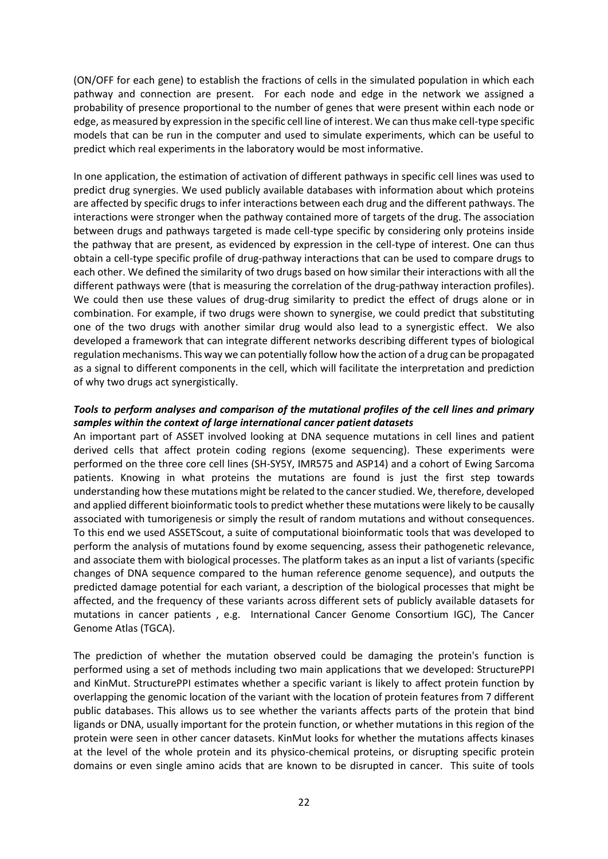(ON/OFF for each gene) to establish the fractions of cells in the simulated population in which each pathway and connection are present. For each node and edge in the network we assigned a probability of presence proportional to the number of genes that were present within each node or edge, as measured by expression in the specific cell line of interest. We can thus make cell-type specific models that can be run in the computer and used to simulate experiments, which can be useful to predict which real experiments in the laboratory would be most informative.

In one application, the estimation of activation of different pathways in specific cell lines was used to predict drug synergies. We used publicly available databases with information about which proteins are affected by specific drugs to infer interactions between each drug and the different pathways. The interactions were stronger when the pathway contained more of targets of the drug. The association between drugs and pathways targeted is made cell-type specific by considering only proteins inside the pathway that are present, as evidenced by expression in the cell-type of interest. One can thus obtain a cell-type specific profile of drug-pathway interactions that can be used to compare drugs to each other. We defined the similarity of two drugs based on how similar their interactions with all the different pathways were (that is measuring the correlation of the drug-pathway interaction profiles). We could then use these values of drug-drug similarity to predict the effect of drugs alone or in combination. For example, if two drugs were shown to synergise, we could predict that substituting one of the two drugs with another similar drug would also lead to a synergistic effect. We also developed a framework that can integrate different networks describing different types of biological regulation mechanisms. This way we can potentially follow how the action of a drug can be propagated as a signal to different components in the cell, which will facilitate the interpretation and prediction of why two drugs act synergistically.

### *Tools to perform analyses and comparison of the mutational profiles of the cell lines and primary samples within the context of large international cancer patient datasets*

An important part of ASSET involved looking at DNA sequence mutations in cell lines and patient derived cells that affect protein coding regions (exome sequencing). These experiments were performed on the three core cell lines (SH-SY5Y, IMR575 and ASP14) and a cohort of Ewing Sarcoma patients. Knowing in what proteins the mutations are found is just the first step towards understanding how these mutations might be related to the cancer studied. We, therefore, developed and applied different bioinformatic tools to predict whether these mutations were likely to be causally associated with tumorigenesis or simply the result of random mutations and without consequences. To this end we used ASSETScout, a suite of computational bioinformatic tools that was developed to perform the analysis of mutations found by exome sequencing, assess their pathogenetic relevance, and associate them with biological processes. The platform takes as an input a list of variants (specific changes of DNA sequence compared to the human reference genome sequence), and outputs the predicted damage potential for each variant, a description of the biological processes that might be affected, and the frequency of these variants across different sets of publicly available datasets for mutations in cancer patients , e.g. International Cancer Genome Consortium IGC), The Cancer Genome Atlas (TGCA).

The prediction of whether the mutation observed could be damaging the protein's function is performed using a set of methods including two main applications that we developed: StructurePPI and KinMut. StructurePPI estimates whether a specific variant is likely to affect protein function by overlapping the genomic location of the variant with the location of protein features from 7 different public databases. This allows us to see whether the variants affects parts of the protein that bind ligands or DNA, usually important for the protein function, or whether mutations in this region of the protein were seen in other cancer datasets. KinMut looks for whether the mutations affects kinases at the level of the whole protein and its physico-chemical proteins, or disrupting specific protein domains or even single amino acids that are known to be disrupted in cancer. This suite of tools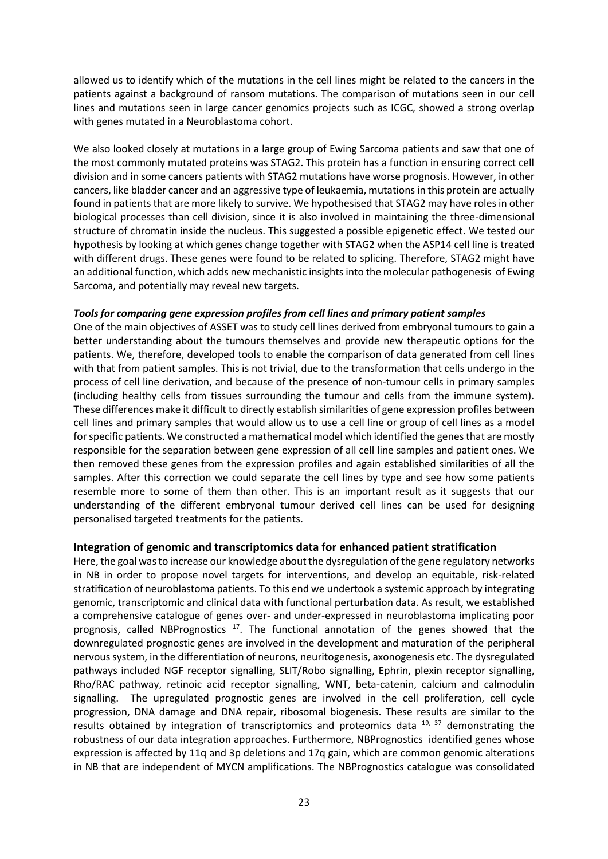allowed us to identify which of the mutations in the cell lines might be related to the cancers in the patients against a background of ransom mutations. The comparison of mutations seen in our cell lines and mutations seen in large cancer genomics projects such as ICGC, showed a strong overlap with genes mutated in a Neuroblastoma cohort.

We also looked closely at mutations in a large group of Ewing Sarcoma patients and saw that one of the most commonly mutated proteins was STAG2. This protein has a function in ensuring correct cell division and in some cancers patients with STAG2 mutations have worse prognosis. However, in other cancers, like bladder cancer and an aggressive type of leukaemia, mutations in this protein are actually found in patients that are more likely to survive. We hypothesised that STAG2 may have roles in other biological processes than cell division, since it is also involved in maintaining the three-dimensional structure of chromatin inside the nucleus. This suggested a possible epigenetic effect. We tested our hypothesis by looking at which genes change together with STAG2 when the ASP14 cell line is treated with different drugs. These genes were found to be related to splicing. Therefore, STAG2 might have an additional function, which adds new mechanistic insights into the molecular pathogenesis of Ewing Sarcoma, and potentially may reveal new targets.

### *Tools for comparing gene expression profiles from cell lines and primary patient samples*

One of the main objectives of ASSET was to study cell lines derived from embryonal tumours to gain a better understanding about the tumours themselves and provide new therapeutic options for the patients. We, therefore, developed tools to enable the comparison of data generated from cell lines with that from patient samples. This is not trivial, due to the transformation that cells undergo in the process of cell line derivation, and because of the presence of non-tumour cells in primary samples (including healthy cells from tissues surrounding the tumour and cells from the immune system). These differences make it difficult to directly establish similarities of gene expression profiles between cell lines and primary samples that would allow us to use a cell line or group of cell lines as a model for specific patients. We constructed a mathematical model which identified the genes that are mostly responsible for the separation between gene expression of all cell line samples and patient ones. We then removed these genes from the expression profiles and again established similarities of all the samples. After this correction we could separate the cell lines by type and see how some patients resemble more to some of them than other. This is an important result as it suggests that our understanding of the different embryonal tumour derived cell lines can be used for designing personalised targeted treatments for the patients.

### **Integration of genomic and transcriptomics data for enhanced patient stratification**

Here, the goal was to increase our knowledge about the dysregulation of the gene regulatory networks in NB in order to propose novel targets for interventions, and develop an equitable, risk-related stratification of neuroblastoma patients. To this end we undertook a systemic approach by integrating genomic, transcriptomic and clinical data with functional perturbation data. As result, we established a comprehensive catalogue of genes over- and under-expressed in neuroblastoma implicating poor prognosis, called NBPrognostics  $17$ . The functional annotation of the genes showed that the downregulated prognostic genes are involved in the development and maturation of the peripheral nervous system, in the differentiation of neurons, neuritogenesis, axonogenesis etc. The dysregulated pathways included NGF receptor signalling, SLIT/Robo signalling, Ephrin, plexin receptor signalling, Rho/RAC pathway, retinoic acid receptor signalling, WNT, beta-catenin, calcium and calmodulin signalling. The upregulated prognostic genes are involved in the cell proliferation, cell cycle progression, DNA damage and DNA repair, ribosomal biogenesis. These results are similar to the results obtained by integration of transcriptomics and proteomics data  $19$ ,  $37$  demonstrating the robustness of our data integration approaches. Furthermore, NBPrognostics identified genes whose expression is affected by 11q and 3p deletions and 17q gain, which are common genomic alterations in NB that are independent of MYCN amplifications. The NBPrognostics catalogue was consolidated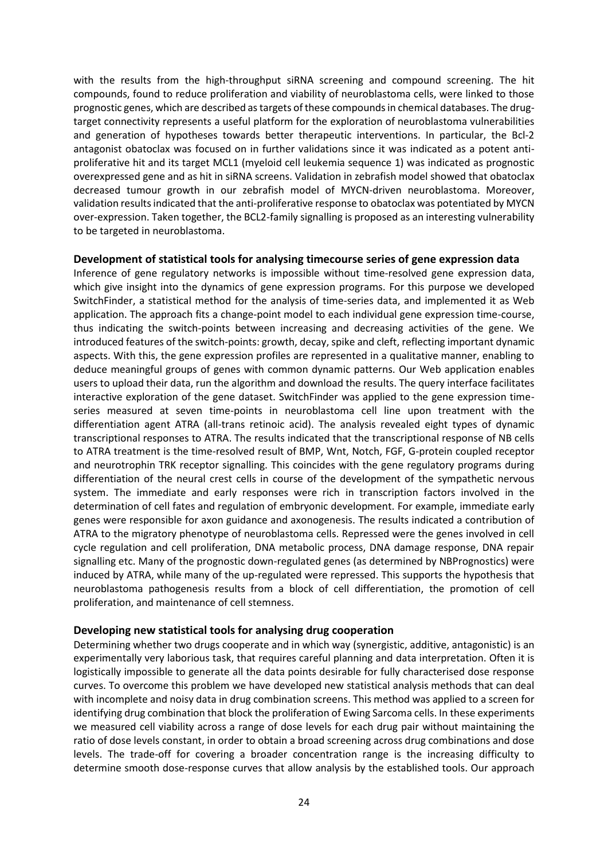with the results from the high-throughput siRNA screening and compound screening. The hit compounds, found to reduce proliferation and viability of neuroblastoma cells, were linked to those prognostic genes, which are described as targets of these compounds in chemical databases. The drugtarget connectivity represents a useful platform for the exploration of neuroblastoma vulnerabilities and generation of hypotheses towards better therapeutic interventions. In particular, the Bcl-2 antagonist obatoclax was focused on in further validations since it was indicated as a potent antiproliferative hit and its target MCL1 (myeloid cell leukemia sequence 1) was indicated as prognostic overexpressed gene and as hit in siRNA screens. Validation in zebrafish model showed that obatoclax decreased tumour growth in our zebrafish model of MYCN-driven neuroblastoma. Moreover, validation results indicated that the anti-proliferative response to obatoclax was potentiated by MYCN over-expression. Taken together, the BCL2-family signalling is proposed as an interesting vulnerability to be targeted in neuroblastoma.

### **Development of statistical tools for analysing timecourse series of gene expression data**

Inference of gene regulatory networks is impossible without time-resolved gene expression data, which give insight into the dynamics of gene expression programs. For this purpose we developed SwitchFinder, a statistical method for the analysis of time-series data, and implemented it as Web application. The approach fits a change-point model to each individual gene expression time-course, thus indicating the switch-points between increasing and decreasing activities of the gene. We introduced features of the switch-points: growth, decay, spike and cleft, reflecting important dynamic aspects. With this, the gene expression profiles are represented in a qualitative manner, enabling to deduce meaningful groups of genes with common dynamic patterns. Our Web application enables users to upload their data, run the algorithm and download the results. The query interface facilitates interactive exploration of the gene dataset. SwitchFinder was applied to the gene expression timeseries measured at seven time-points in neuroblastoma cell line upon treatment with the differentiation agent ATRA (all-trans retinoic acid). The analysis revealed eight types of dynamic transcriptional responses to ATRA. The results indicated that the transcriptional response of NB cells to ATRA treatment is the time-resolved result of BMP, Wnt, Notch, FGF, G-protein coupled receptor and neurotrophin TRK receptor signalling. This coincides with the gene regulatory programs during differentiation of the neural crest cells in course of the development of the sympathetic nervous system. The immediate and early responses were rich in transcription factors involved in the determination of cell fates and regulation of embryonic development. For example, immediate early genes were responsible for axon guidance and axonogenesis. The results indicated a contribution of ATRA to the migratory phenotype of neuroblastoma cells. Repressed were the genes involved in cell cycle regulation and cell proliferation, DNA metabolic process, DNA damage response, DNA repair signalling etc. Many of the prognostic down-regulated genes (as determined by NBPrognostics) were induced by ATRA, while many of the up-regulated were repressed. This supports the hypothesis that neuroblastoma pathogenesis results from a block of cell differentiation, the promotion of cell proliferation, and maintenance of cell stemness.

### **Developing new statistical tools for analysing drug cooperation**

Determining whether two drugs cooperate and in which way (synergistic, additive, antagonistic) is an experimentally very laborious task, that requires careful planning and data interpretation. Often it is logistically impossible to generate all the data points desirable for fully characterised dose response curves. To overcome this problem we have developed new statistical analysis methods that can deal with incomplete and noisy data in drug combination screens. This method was applied to a screen for identifying drug combination that block the proliferation of Ewing Sarcoma cells. In these experiments we measured cell viability across a range of dose levels for each drug pair without maintaining the ratio of dose levels constant, in order to obtain a broad screening across drug combinations and dose levels. The trade-off for covering a broader concentration range is the increasing difficulty to determine smooth dose-response curves that allow analysis by the established tools. Our approach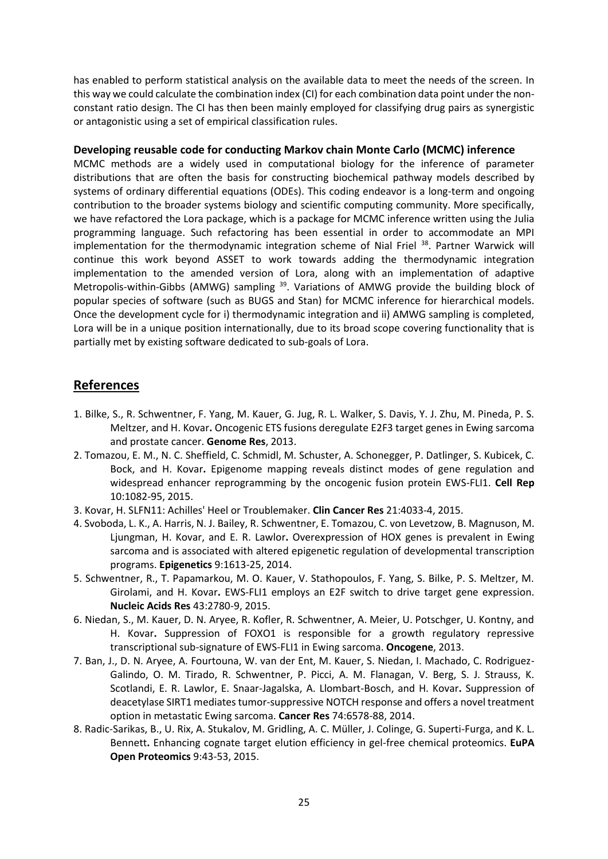has enabled to perform statistical analysis on the available data to meet the needs of the screen. In this way we could calculate the combination index (CI) for each combination data point under the nonconstant ratio design. The CI has then been mainly employed for classifying drug pairs as synergistic or antagonistic using a set of empirical classification rules.

### **Developing reusable code for conducting Markov chain Monte Carlo (MCMC) inference**

MCMC methods are a widely used in computational biology for the inference of parameter distributions that are often the basis for constructing biochemical pathway models described by systems of ordinary differential equations (ODEs). This coding endeavor is a long-term and ongoing contribution to the broader systems biology and scientific computing community. More specifically, we have refactored the Lora package, which is a package for MCMC inference written using the Julia programming language. Such refactoring has been essential in order to accommodate an MPI implementation for the thermodynamic integration scheme of Nial Friel <sup>38</sup>. Partner Warwick will continue this work beyond ASSET to work towards adding the thermodynamic integration implementation to the amended version of Lora, along with an implementation of adaptive Metropolis-within-Gibbs (AMWG) sampling <sup>39</sup>. Variations of AMWG provide the building block of popular species of software (such as BUGS and Stan) for MCMC inference for hierarchical models. Once the development cycle for i) thermodynamic integration and ii) AMWG sampling is completed, Lora will be in a unique position internationally, due to its broad scope covering functionality that is partially met by existing software dedicated to sub-goals of Lora.

### **References**

- 1. Bilke, S., R. Schwentner, F. Yang, M. Kauer, G. Jug, R. L. Walker, S. Davis, Y. J. Zhu, M. Pineda, P. S. Meltzer, and H. Kovar**.** Oncogenic ETS fusions deregulate E2F3 target genes in Ewing sarcoma and prostate cancer. **Genome Res**, 2013.
- 2. Tomazou, E. M., N. C. Sheffield, C. Schmidl, M. Schuster, A. Schonegger, P. Datlinger, S. Kubicek, C. Bock, and H. Kovar**.** Epigenome mapping reveals distinct modes of gene regulation and widespread enhancer reprogramming by the oncogenic fusion protein EWS-FLI1. **Cell Rep** 10:1082-95, 2015.
- 3. Kovar, H. SLFN11: Achilles' Heel or Troublemaker. **Clin Cancer Res** 21:4033-4, 2015.
- 4. Svoboda, L. K., A. Harris, N. J. Bailey, R. Schwentner, E. Tomazou, C. von Levetzow, B. Magnuson, M. Ljungman, H. Kovar, and E. R. Lawlor**.** Overexpression of HOX genes is prevalent in Ewing sarcoma and is associated with altered epigenetic regulation of developmental transcription programs. **Epigenetics** 9:1613-25, 2014.
- 5. Schwentner, R., T. Papamarkou, M. O. Kauer, V. Stathopoulos, F. Yang, S. Bilke, P. S. Meltzer, M. Girolami, and H. Kovar**.** EWS-FLI1 employs an E2F switch to drive target gene expression. **Nucleic Acids Res** 43:2780-9, 2015.
- 6. Niedan, S., M. Kauer, D. N. Aryee, R. Kofler, R. Schwentner, A. Meier, U. Potschger, U. Kontny, and H. Kovar**.** Suppression of FOXO1 is responsible for a growth regulatory repressive transcriptional sub-signature of EWS-FLI1 in Ewing sarcoma. **Oncogene**, 2013.
- 7. Ban, J., D. N. Aryee, A. Fourtouna, W. van der Ent, M. Kauer, S. Niedan, I. Machado, C. Rodriguez-Galindo, O. M. Tirado, R. Schwentner, P. Picci, A. M. Flanagan, V. Berg, S. J. Strauss, K. Scotlandi, E. R. Lawlor, E. Snaar-Jagalska, A. Llombart-Bosch, and H. Kovar**.** Suppression of deacetylase SIRT1 mediates tumor-suppressive NOTCH response and offers a novel treatment option in metastatic Ewing sarcoma. **Cancer Res** 74:6578-88, 2014.
- 8. Radic-Sarikas, B., U. Rix, A. Stukalov, M. Gridling, A. C. Müller, J. Colinge, G. Superti-Furga, and K. L. Bennett**.** Enhancing cognate target elution efficiency in gel-free chemical proteomics. **EuPA Open Proteomics** 9:43-53, 2015.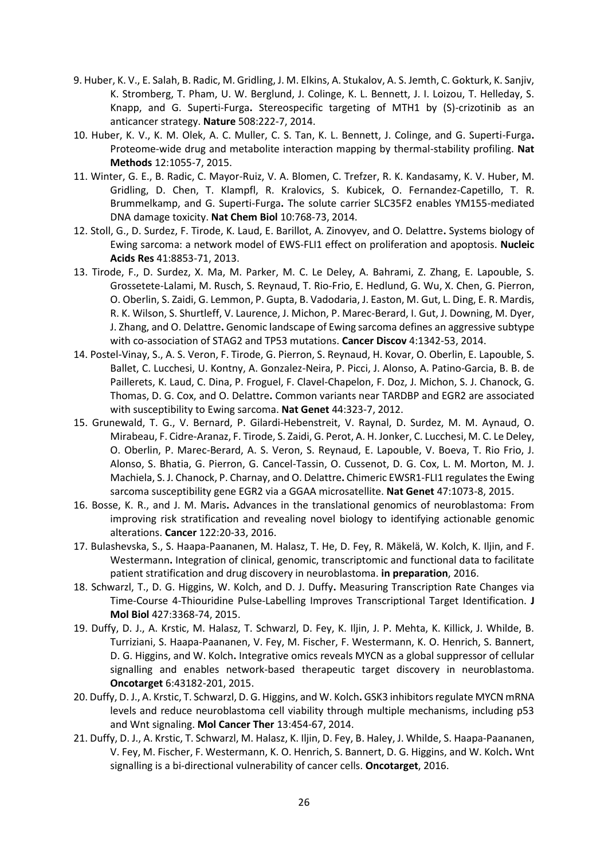- 9. Huber, K. V., E. Salah, B. Radic, M. Gridling, J. M. Elkins, A. Stukalov, A. S. Jemth, C. Gokturk, K. Sanjiv, K. Stromberg, T. Pham, U. W. Berglund, J. Colinge, K. L. Bennett, J. I. Loizou, T. Helleday, S. Knapp, and G. Superti-Furga**.** Stereospecific targeting of MTH1 by (S)-crizotinib as an anticancer strategy. **Nature** 508:222-7, 2014.
- 10. Huber, K. V., K. M. Olek, A. C. Muller, C. S. Tan, K. L. Bennett, J. Colinge, and G. Superti-Furga**.** Proteome-wide drug and metabolite interaction mapping by thermal-stability profiling. **Nat Methods** 12:1055-7, 2015.
- 11. Winter, G. E., B. Radic, C. Mayor-Ruiz, V. A. Blomen, C. Trefzer, R. K. Kandasamy, K. V. Huber, M. Gridling, D. Chen, T. Klampfl, R. Kralovics, S. Kubicek, O. Fernandez-Capetillo, T. R. Brummelkamp, and G. Superti-Furga**.** The solute carrier SLC35F2 enables YM155-mediated DNA damage toxicity. **Nat Chem Biol** 10:768-73, 2014.
- 12. Stoll, G., D. Surdez, F. Tirode, K. Laud, E. Barillot, A. Zinovyev, and O. Delattre**.** Systems biology of Ewing sarcoma: a network model of EWS-FLI1 effect on proliferation and apoptosis. **Nucleic Acids Res** 41:8853-71, 2013.
- 13. Tirode, F., D. Surdez, X. Ma, M. Parker, M. C. Le Deley, A. Bahrami, Z. Zhang, E. Lapouble, S. Grossetete-Lalami, M. Rusch, S. Reynaud, T. Rio-Frio, E. Hedlund, G. Wu, X. Chen, G. Pierron, O. Oberlin, S. Zaidi, G. Lemmon, P. Gupta, B. Vadodaria, J. Easton, M. Gut, L. Ding, E. R. Mardis, R. K. Wilson, S. Shurtleff, V. Laurence, J. Michon, P. Marec-Berard, I. Gut, J. Downing, M. Dyer, J. Zhang, and O. Delattre**.** Genomic landscape of Ewing sarcoma defines an aggressive subtype with co-association of STAG2 and TP53 mutations. **Cancer Discov** 4:1342-53, 2014.
- 14. Postel-Vinay, S., A. S. Veron, F. Tirode, G. Pierron, S. Reynaud, H. Kovar, O. Oberlin, E. Lapouble, S. Ballet, C. Lucchesi, U. Kontny, A. Gonzalez-Neira, P. Picci, J. Alonso, A. Patino-Garcia, B. B. de Paillerets, K. Laud, C. Dina, P. Froguel, F. Clavel-Chapelon, F. Doz, J. Michon, S. J. Chanock, G. Thomas, D. G. Cox, and O. Delattre**.** Common variants near TARDBP and EGR2 are associated with susceptibility to Ewing sarcoma. **Nat Genet** 44:323-7, 2012.
- 15. Grunewald, T. G., V. Bernard, P. Gilardi-Hebenstreit, V. Raynal, D. Surdez, M. M. Aynaud, O. Mirabeau, F. Cidre-Aranaz, F. Tirode, S. Zaidi, G. Perot, A. H. Jonker, C. Lucchesi, M. C. Le Deley, O. Oberlin, P. Marec-Berard, A. S. Veron, S. Reynaud, E. Lapouble, V. Boeva, T. Rio Frio, J. Alonso, S. Bhatia, G. Pierron, G. Cancel-Tassin, O. Cussenot, D. G. Cox, L. M. Morton, M. J. Machiela, S. J. Chanock, P. Charnay, and O. Delattre**.** Chimeric EWSR1-FLI1 regulates the Ewing sarcoma susceptibility gene EGR2 via a GGAA microsatellite. **Nat Genet** 47:1073-8, 2015.
- 16. Bosse, K. R., and J. M. Maris**.** Advances in the translational genomics of neuroblastoma: From improving risk stratification and revealing novel biology to identifying actionable genomic alterations. **Cancer** 122:20-33, 2016.
- 17. Bulashevska, S., S. Haapa-Paananen, M. Halasz, T. He, D. Fey, R. Mäkelä, W. Kolch, K. Iljin, and F. Westermann**.** Integration of clinical, genomic, transcriptomic and functional data to facilitate patient stratification and drug discovery in neuroblastoma. **in preparation**, 2016.
- 18. Schwarzl, T., D. G. Higgins, W. Kolch, and D. J. Duffy**.** Measuring Transcription Rate Changes via Time-Course 4-Thiouridine Pulse-Labelling Improves Transcriptional Target Identification. **J Mol Biol** 427:3368-74, 2015.
- 19. Duffy, D. J., A. Krstic, M. Halasz, T. Schwarzl, D. Fey, K. Iljin, J. P. Mehta, K. Killick, J. Whilde, B. Turriziani, S. Haapa-Paananen, V. Fey, M. Fischer, F. Westermann, K. O. Henrich, S. Bannert, D. G. Higgins, and W. Kolch**.** Integrative omics reveals MYCN as a global suppressor of cellular signalling and enables network-based therapeutic target discovery in neuroblastoma. **Oncotarget** 6:43182-201, 2015.
- 20. Duffy, D. J., A. Krstic, T. Schwarzl, D. G. Higgins, and W. Kolch**.** GSK3 inhibitors regulate MYCN mRNA levels and reduce neuroblastoma cell viability through multiple mechanisms, including p53 and Wnt signaling. **Mol Cancer Ther** 13:454-67, 2014.
- 21. Duffy, D. J., A. Krstic, T. Schwarzl, M. Halasz, K. Iljin, D. Fey, B. Haley, J. Whilde, S. Haapa-Paananen, V. Fey, M. Fischer, F. Westermann, K. O. Henrich, S. Bannert, D. G. Higgins, and W. Kolch**.** Wnt signalling is a bi-directional vulnerability of cancer cells. **Oncotarget**, 2016.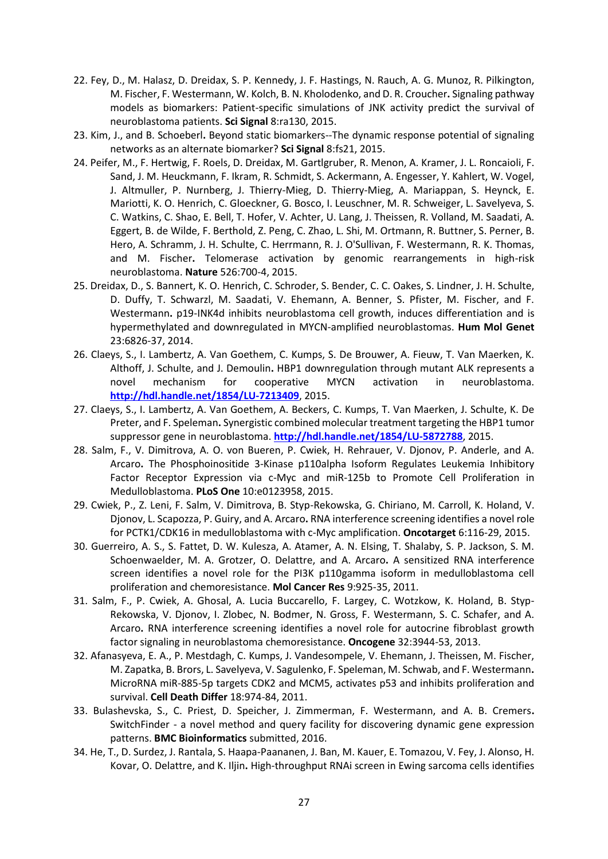- 22. Fey, D., M. Halasz, D. Dreidax, S. P. Kennedy, J. F. Hastings, N. Rauch, A. G. Munoz, R. Pilkington, M. Fischer, F. Westermann, W. Kolch, B. N. Kholodenko, and D. R. Croucher**.** Signaling pathway models as biomarkers: Patient-specific simulations of JNK activity predict the survival of neuroblastoma patients. **Sci Signal** 8:ra130, 2015.
- 23. Kim, J., and B. Schoeberl**.** Beyond static biomarkers--The dynamic response potential of signaling networks as an alternate biomarker? **Sci Signal** 8:fs21, 2015.
- 24. Peifer, M., F. Hertwig, F. Roels, D. Dreidax, M. Gartlgruber, R. Menon, A. Kramer, J. L. Roncaioli, F. Sand, J. M. Heuckmann, F. Ikram, R. Schmidt, S. Ackermann, A. Engesser, Y. Kahlert, W. Vogel, J. Altmuller, P. Nurnberg, J. Thierry-Mieg, D. Thierry-Mieg, A. Mariappan, S. Heynck, E. Mariotti, K. O. Henrich, C. Gloeckner, G. Bosco, I. Leuschner, M. R. Schweiger, L. Savelyeva, S. C. Watkins, C. Shao, E. Bell, T. Hofer, V. Achter, U. Lang, J. Theissen, R. Volland, M. Saadati, A. Eggert, B. de Wilde, F. Berthold, Z. Peng, C. Zhao, L. Shi, M. Ortmann, R. Buttner, S. Perner, B. Hero, A. Schramm, J. H. Schulte, C. Herrmann, R. J. O'Sullivan, F. Westermann, R. K. Thomas, and M. Fischer**.** Telomerase activation by genomic rearrangements in high-risk neuroblastoma. **Nature** 526:700-4, 2015.
- 25. Dreidax, D., S. Bannert, K. O. Henrich, C. Schroder, S. Bender, C. C. Oakes, S. Lindner, J. H. Schulte, D. Duffy, T. Schwarzl, M. Saadati, V. Ehemann, A. Benner, S. Pfister, M. Fischer, and F. Westermann**.** p19-INK4d inhibits neuroblastoma cell growth, induces differentiation and is hypermethylated and downregulated in MYCN-amplified neuroblastomas. **Hum Mol Genet** 23:6826-37, 2014.
- 26. Claeys, S., I. Lambertz, A. Van Goethem, C. Kumps, S. De Brouwer, A. Fieuw, T. Van Maerken, K. Althoff, J. Schulte, and J. Demoulin**.** HBP1 downregulation through mutant ALK represents a novel mechanism for cooperative MYCN activation in neuroblastoma. **<http://hdl.handle.net/1854/LU-7213409>**, 2015.
- 27. Claeys, S., I. Lambertz, A. Van Goethem, A. Beckers, C. Kumps, T. Van Maerken, J. Schulte, K. De Preter, and F. Speleman**.** Synergistic combined molecular treatment targeting the HBP1 tumor suppressor gene in neuroblastoma. **<http://hdl.handle.net/1854/LU-5872788>**, 2015.
- 28. Salm, F., V. Dimitrova, A. O. von Bueren, P. Cwiek, H. Rehrauer, V. Djonov, P. Anderle, and A. Arcaro**.** The Phosphoinositide 3-Kinase p110alpha Isoform Regulates Leukemia Inhibitory Factor Receptor Expression via c-Myc and miR-125b to Promote Cell Proliferation in Medulloblastoma. **PLoS One** 10:e0123958, 2015.
- 29. Cwiek, P., Z. Leni, F. Salm, V. Dimitrova, B. Styp-Rekowska, G. Chiriano, M. Carroll, K. Holand, V. Djonov, L. Scapozza, P. Guiry, and A. Arcaro**.** RNA interference screening identifies a novel role for PCTK1/CDK16 in medulloblastoma with c-Myc amplification. **Oncotarget** 6:116-29, 2015.
- 30. Guerreiro, A. S., S. Fattet, D. W. Kulesza, A. Atamer, A. N. Elsing, T. Shalaby, S. P. Jackson, S. M. Schoenwaelder, M. A. Grotzer, O. Delattre, and A. Arcaro**.** A sensitized RNA interference screen identifies a novel role for the PI3K p110gamma isoform in medulloblastoma cell proliferation and chemoresistance. **Mol Cancer Res** 9:925-35, 2011.
- 31. Salm, F., P. Cwiek, A. Ghosal, A. Lucia Buccarello, F. Largey, C. Wotzkow, K. Holand, B. Styp-Rekowska, V. Djonov, I. Zlobec, N. Bodmer, N. Gross, F. Westermann, S. C. Schafer, and A. Arcaro**.** RNA interference screening identifies a novel role for autocrine fibroblast growth factor signaling in neuroblastoma chemoresistance. **Oncogene** 32:3944-53, 2013.
- 32. Afanasyeva, E. A., P. Mestdagh, C. Kumps, J. Vandesompele, V. Ehemann, J. Theissen, M. Fischer, M. Zapatka, B. Brors, L. Savelyeva, V. Sagulenko, F. Speleman, M. Schwab, and F. Westermann**.** MicroRNA miR-885-5p targets CDK2 and MCM5, activates p53 and inhibits proliferation and survival. **Cell Death Differ** 18:974-84, 2011.
- 33. Bulashevska, S., C. Priest, D. Speicher, J. Zimmerman, F. Westermann, and A. B. Cremers**.** SwitchFinder - a novel method and query facility for discovering dynamic gene expression patterns. **BMC Bioinformatics** submitted, 2016.
- 34. He, T., D. Surdez, J. Rantala, S. Haapa-Paananen, J. Ban, M. Kauer, E. Tomazou, V. Fey, J. Alonso, H. Kovar, O. Delattre, and K. Iljin**.** High-throughput RNAi screen in Ewing sarcoma cells identifies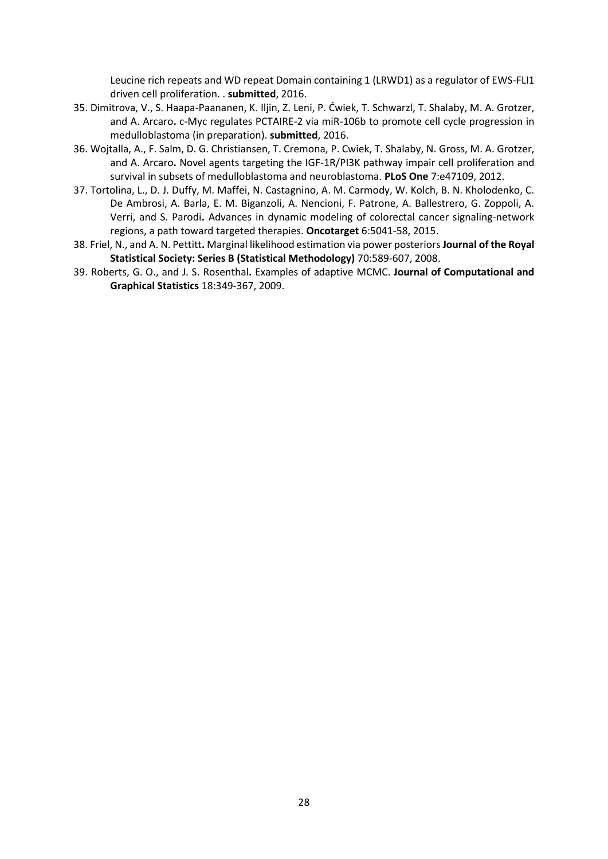Leucine rich repeats and WD repeat Domain containing 1 (LRWD1) as a regulator of EWS-FLI1 driven cell proliferation. . **submitted**, 2016.

- 35. Dimitrova, V., S. Haapa-Paananen, K. Iljin, Z. Leni, P. Ćwiek, T. Schwarzl, T. Shalaby, M. A. Grotzer, and A. Arcaro**.** c-Myc regulates PCTAIRE-2 via miR-106b to promote cell cycle progression in medulloblastoma (in preparation). **submitted**, 2016.
- 36. Wojtalla, A., F. Salm, D. G. Christiansen, T. Cremona, P. Cwiek, T. Shalaby, N. Gross, M. A. Grotzer, and A. Arcaro**.** Novel agents targeting the IGF-1R/PI3K pathway impair cell proliferation and survival in subsets of medulloblastoma and neuroblastoma. **PLoS One** 7:e47109, 2012.
- 37. Tortolina, L., D. J. Duffy, M. Maffei, N. Castagnino, A. M. Carmody, W. Kolch, B. N. Kholodenko, C. De Ambrosi, A. Barla, E. M. Biganzoli, A. Nencioni, F. Patrone, A. Ballestrero, G. Zoppoli, A. Verri, and S. Parodi**.** Advances in dynamic modeling of colorectal cancer signaling-network regions, a path toward targeted therapies. **Oncotarget** 6:5041-58, 2015.
- 38. Friel, N., and A. N. Pettitt**.** Marginal likelihood estimation via power posteriors **Journal of the Royal Statistical Society: Series B (Statistical Methodology)** 70:589-607, 2008.
- 39. Roberts, G. O., and J. S. Rosenthal**.** Examples of adaptive MCMC. **Journal of Computational and Graphical Statistics** 18:349-367, 2009.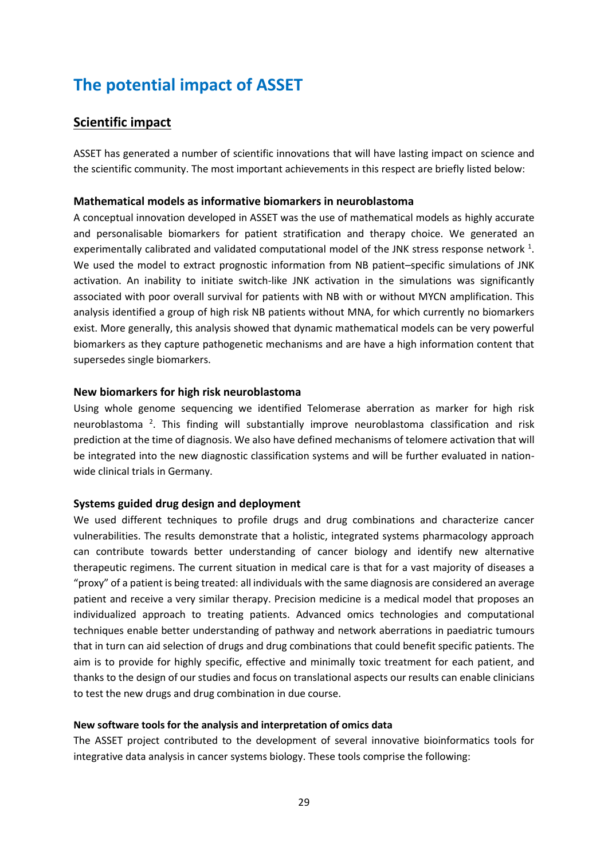# **The potential impact of ASSET**

### **Scientific impact**

ASSET has generated a number of scientific innovations that will have lasting impact on science and the scientific community. The most important achievements in this respect are briefly listed below:

### **Mathematical models as informative biomarkers in neuroblastoma**

A conceptual innovation developed in ASSET was the use of mathematical models as highly accurate and personalisable biomarkers for patient stratification and therapy choice. We generated an experimentally calibrated and validated computational model of the JNK stress response network  $^1$ [.](#page-34-0) We used the model to extract prognostic information from NB patient–specific simulations of JNK activation. An inability to initiate switch-like JNK activation in the simulations was significantly associated with poor overall survival for patients with NB with or without MYCN amplification. This analysis identified a group of high risk NB patients without MNA, for which currently no biomarkers exist. More generally, this analysis showed that dynamic mathematical models can be very powerful biomarkers as they capture pathogenetic mechanisms and are have a high information content that supersedes single biomarkers.

### **New biomarkers for high risk neuroblastoma**

Using whole genome sequencing we identified Telomerase aberration as marker for high risk neuroblastoma<sup>[2](#page-34-1)</sup>. This finding will substantially improve neuroblastoma classification and risk prediction at the time of diagnosis. We also have defined mechanisms of telomere activation that will be integrated into the new diagnostic classification systems and will be further evaluated in nationwide clinical trials in Germany.

### **Systems guided drug design and deployment**

We used different techniques to profile drugs and drug combinations and characterize cancer vulnerabilities. The results demonstrate that a holistic, integrated systems pharmacology approach can contribute towards better understanding of cancer biology and identify new alternative therapeutic regimens. The current situation in medical care is that for a vast majority of diseases a "proxy" of a patient is being treated: all individuals with the same diagnosis are considered an average patient and receive a very similar therapy. Precision medicine is a medical model that proposes an individualized approach to treating patients. Advanced omics technologies and computational techniques enable better understanding of pathway and network aberrations in paediatric tumours that in turn can aid selection of drugs and drug combinations that could benefit specific patients. The aim is to provide for highly specific, effective and minimally toxic treatment for each patient, and thanks to the design of our studies and focus on translational aspects our results can enable clinicians to test the new drugs and drug combination in due course.

### **New software tools for the analysis and interpretation of omics data**

The ASSET project contributed to the development of several innovative bioinformatics tools for integrative data analysis in cancer systems biology. These tools comprise the following: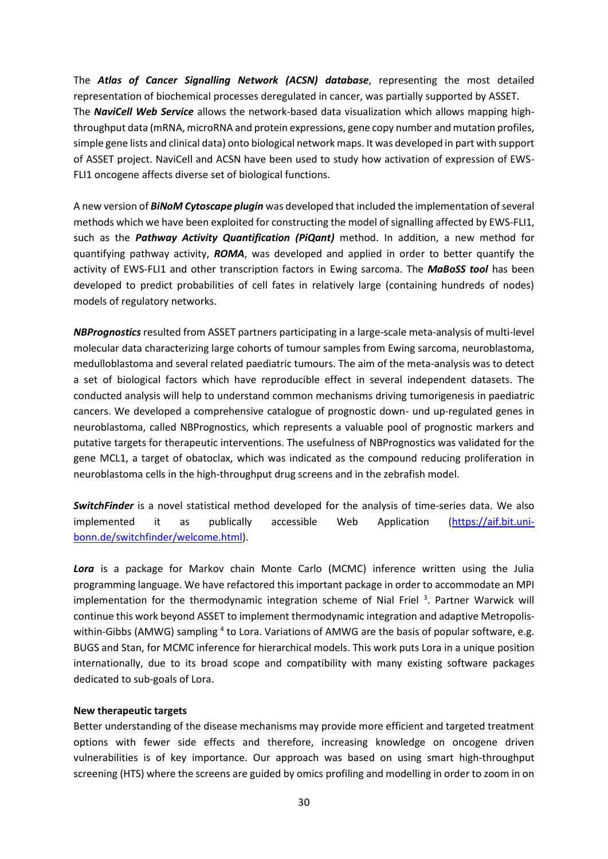The *Atlas of Cancer Signalling Network (ACSN) database*, representing the most detailed representation of biochemical processes deregulated in cancer, was partially supported by ASSET. The *NaviCell Web Service* allows the network-based data visualization which allows mapping highthroughput data (mRNA, microRNA and protein expressions, gene copy number and mutation profiles, simple gene lists and clinical data) onto biological network maps. It was developed in part with support of ASSET project. NaviCell and ACSN have been used to study how activation of expression of EWS-FLI1 oncogene affects diverse set of biological functions.

A new version of *BiNoM Cytoscape plugin* was developed that included the implementation of several methods which we have been exploited for constructing the model of signalling affected by EWS-FLI1, such as the *Pathway Activity Quantification (PiQant)* method. In addition, a new method for quantifying pathway activity, *ROMA*, was developed and applied in order to better quantify the activity of EWS-FLI1 and other transcription factors in Ewing sarcoma. The *MaBoSS tool* has been developed to predict probabilities of cell fates in relatively large (containing hundreds of nodes) models of regulatory networks.

*NBPrognostics* resulted from ASSET partners participating in a large-scale meta-analysis of multi-level molecular data characterizing large cohorts of tumour samples from Ewing sarcoma, neuroblastoma, medulloblastoma and several related paediatric tumours. The aim of the meta-analysis was to detect a set of biological factors which have reproducible effect in several independent datasets. The conducted analysis will help to understand common mechanisms driving tumorigenesis in paediatric cancers. We developed a comprehensive catalogue of prognostic down- und up-regulated genes in neuroblastoma, called NBPrognostics, which represents a valuable pool of prognostic markers and putative targets for therapeutic interventions. The usefulness of NBPrognostics was validated for the gene MCL1, a target of obatoclax, which was indicated as the compound reducing proliferation in neuroblastoma cells in the high-throughput drug screens and in the zebrafish model.

*SwitchFinder* is a novel statistical method developed for the analysis of time-series data. We also implemented it as publically accessible Web Application [\(https://aif.bit.uni](https://aif.bit.uni-bonn.de/switchfinder/welcome.html)[bonn.de/switchfinder/welcome.html\)](https://aif.bit.uni-bonn.de/switchfinder/welcome.html).

*Lora* is a package for Markov chain Monte Carlo (MCMC) inference written using the Julia programming language. We have refactored this important package in order to accommodate an MPI implementation for the thermodynamic integration scheme of Nial Friel<sup>3</sup>[.](#page-34-2) Partner Warwick will continue this work beyond ASSET to implement thermodynamic integration and adaptive Metropolis-within-Gibbs (AMWG) sampling <sup>[4](#page-34-3)</sup> to Lora. Variations of AMWG are the basis of popular software, e.g. BUGS and Stan, for MCMC inference for hierarchical models. This work puts Lora in a unique position internationally, due to its broad scope and compatibility with many existing software packages dedicated to sub-goals of Lora.

### **New therapeutic targets**

Better understanding of the disease mechanisms may provide more efficient and targeted treatment options with fewer side effects and therefore, increasing knowledge on oncogene driven vulnerabilities is of key importance. Our approach was based on using smart high-throughput screening (HTS) where the screens are guided by omics profiling and modelling in order to zoom in on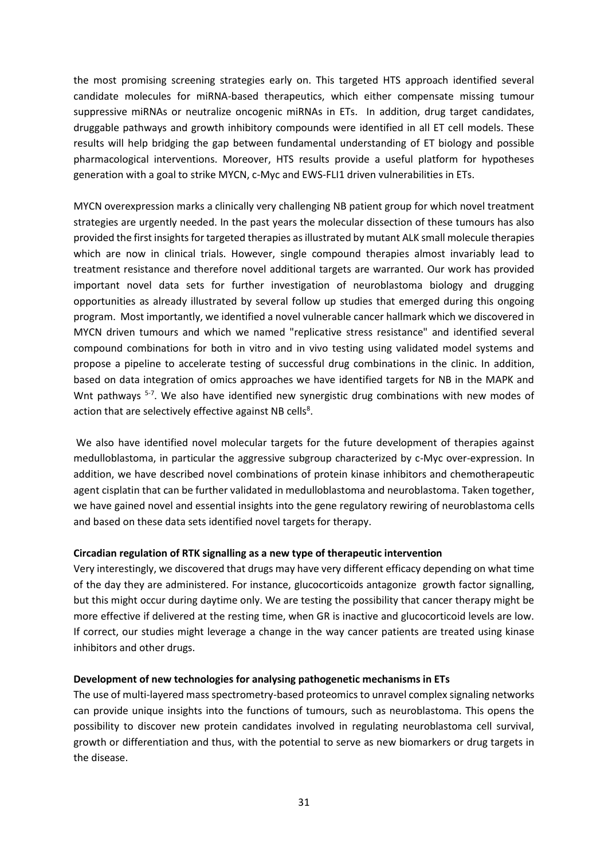the most promising screening strategies early on. This targeted HTS approach identified several candidate molecules for miRNA-based therapeutics, which either compensate missing tumour suppressive miRNAs or neutralize oncogenic miRNAs in ETs. In addition, drug target candidates, druggable pathways and growth inhibitory compounds were identified in all ET cell models. These results will help bridging the gap between fundamental understanding of ET biology and possible pharmacological interventions. Moreover, HTS results provide a useful platform for hypotheses generation with a goal to strike MYCN, c-Myc and EWS-FLI1 driven vulnerabilities in ETs.

MYCN overexpression marks a clinically very challenging NB patient group for which novel treatment strategies are urgently needed. In the past years the molecular dissection of these tumours has also provided the first insights for targeted therapies as illustrated by mutant ALK small molecule therapies which are now in clinical trials. However, single compound therapies almost invariably lead to treatment resistance and therefore novel additional targets are warranted. Our work has provided important novel data sets for further investigation of neuroblastoma biology and drugging opportunities as already illustrated by several follow up studies that emerged during this ongoing program. Most importantly, we identified a novel vulnerable cancer hallmark which we discovered in MYCN driven tumours and which we named "replicative stress resistance" and identified several compound combinations for both in vitro and in vivo testing using validated model systems and propose a pipeline to accelerate testing of successful drug combinations in the clinic. In addition, based on data integration of omics approaches we have identified targets for NB in the MAPK and Wnt pathways <sup>[5-7](#page-34-4)</sup>. We also have identified new synergistic drug combinations with new modes of action that are [s](#page-34-5)electively effective against NB cells<sup>8</sup>.

We also have identified novel molecular targets for the future development of therapies against medulloblastoma, in particular the aggressive subgroup characterized by c-Myc over-expression. In addition, we have described novel combinations of protein kinase inhibitors and chemotherapeutic agent cisplatin that can be further validated in medulloblastoma and neuroblastoma. Taken together, we have gained novel and essential insights into the gene regulatory rewiring of neuroblastoma cells and based on these data sets identified novel targets for therapy.

### **Circadian regulation of RTK signalling as a new type of therapeutic intervention**

Very interestingly, we discovered that drugs may have very different efficacy depending on what time of the day they are administered. For instance, glucocorticoids antagonize growth factor signalling, but this might occur during daytime only. We are testing the possibility that cancer therapy might be more effective if delivered at the resting time, when GR is inactive and glucocorticoid levels are low. If correct, our studies might leverage a change in the way cancer patients are treated using kinase inhibitors and other drugs.

#### **Development of new technologies for analysing pathogenetic mechanisms in ETs**

The use of multi-layered mass spectrometry-based proteomics to unravel complex signaling networks can provide unique insights into the functions of tumours, such as neuroblastoma. This opens the possibility to discover new protein candidates involved in regulating neuroblastoma cell survival, growth or differentiation and thus, with the potential to serve as new biomarkers or drug targets in the disease.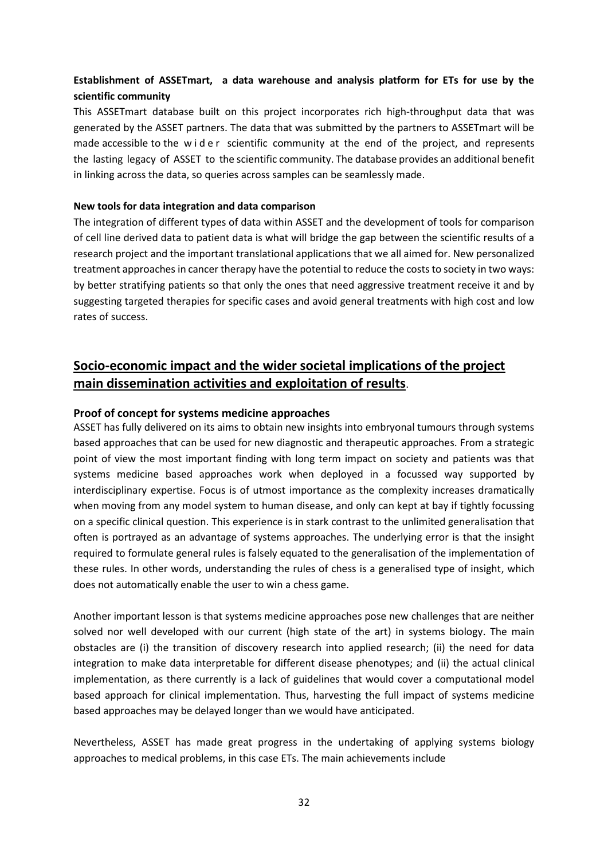### **Establishment of ASSETmart, a data warehouse and analysis platform for ETs for use by the scientific community**

This ASSETmart database built on this project incorporates rich high-throughput data that was generated by the ASSET partners. The data that was submitted by the partners to ASSETmart will be made accessible to the wider scientific community at the end of the project, and represents the lasting legacy of ASSET to the scientific community. The database provides an additional benefit in linking across the data, so queries across samples can be seamlessly made.

### **New tools for data integration and data comparison**

The integration of different types of data within ASSET and the development of tools for comparison of cell line derived data to patient data is what will bridge the gap between the scientific results of a research project and the important translational applications that we all aimed for. New personalized treatment approaches in cancer therapy have the potential to reduce the costs to society in two ways: by better stratifying patients so that only the ones that need aggressive treatment receive it and by suggesting targeted therapies for specific cases and avoid general treatments with high cost and low rates of success.

### **Socio-economic impact and the wider societal implications of the project main dissemination activities and exploitation of results**.

### **Proof of concept for systems medicine approaches**

ASSET has fully delivered on its aims to obtain new insights into embryonal tumours through systems based approaches that can be used for new diagnostic and therapeutic approaches. From a strategic point of view the most important finding with long term impact on society and patients was that systems medicine based approaches work when deployed in a focussed way supported by interdisciplinary expertise. Focus is of utmost importance as the complexity increases dramatically when moving from any model system to human disease, and only can kept at bay if tightly focussing on a specific clinical question. This experience is in stark contrast to the unlimited generalisation that often is portrayed as an advantage of systems approaches. The underlying error is that the insight required to formulate general rules is falsely equated to the generalisation of the implementation of these rules. In other words, understanding the rules of chess is a generalised type of insight, which does not automatically enable the user to win a chess game.

Another important lesson is that systems medicine approaches pose new challenges that are neither solved nor well developed with our current (high state of the art) in systems biology. The main obstacles are (i) the transition of discovery research into applied research; (ii) the need for data integration to make data interpretable for different disease phenotypes; and (ii) the actual clinical implementation, as there currently is a lack of guidelines that would cover a computational model based approach for clinical implementation. Thus, harvesting the full impact of systems medicine based approaches may be delayed longer than we would have anticipated.

Nevertheless, ASSET has made great progress in the undertaking of applying systems biology approaches to medical problems, in this case ETs. The main achievements include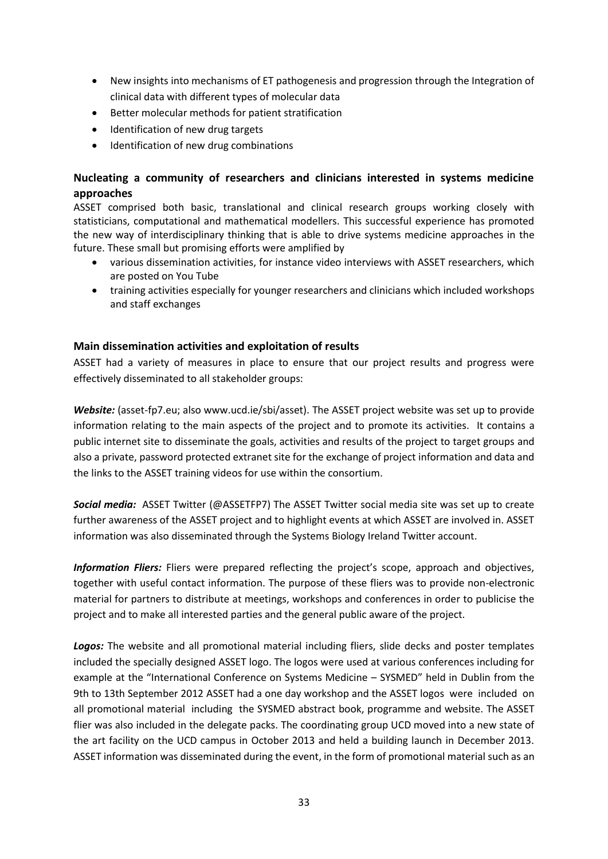- New insights into mechanisms of ET pathogenesis and progression through the Integration of clinical data with different types of molecular data
- Better molecular methods for patient stratification
- Identification of new drug targets
- Identification of new drug combinations

### **Nucleating a community of researchers and clinicians interested in systems medicine approaches**

ASSET comprised both basic, translational and clinical research groups working closely with statisticians, computational and mathematical modellers. This successful experience has promoted the new way of interdisciplinary thinking that is able to drive systems medicine approaches in the future. These small but promising efforts were amplified by

- various dissemination activities, for instance video interviews with ASSET researchers, which are posted on You Tube
- training activities especially for younger researchers and clinicians which included workshops and staff exchanges

### **Main dissemination activities and exploitation of results**

ASSET had a variety of measures in place to ensure that our project results and progress were effectively disseminated to all stakeholder groups:

*Website:* (asset-fp7.eu; also www.ucd.ie/sbi/asset). The ASSET project website was set up to provide information relating to the main aspects of the project and to promote its activities. It contains a public internet site to disseminate the goals, activities and results of the project to target groups and also a private, password protected extranet site for the exchange of project information and data and the links to the ASSET training videos for use within the consortium.

*Social media:* ASSET Twitter (@ASSETFP7) The ASSET Twitter social media site was set up to create further awareness of the ASSET project and to highlight events at which ASSET are involved in. ASSET information was also disseminated through the Systems Biology Ireland Twitter account.

*Information Fliers:* Fliers were prepared reflecting the project's scope, approach and objectives, together with useful contact information. The purpose of these fliers was to provide non-electronic material for partners to distribute at meetings, workshops and conferences in order to publicise the project and to make all interested parties and the general public aware of the project.

Logos: The website and all promotional material including fliers, slide decks and poster templates included the specially designed ASSET logo. The logos were used at various conferences including for example at the "International Conference on Systems Medicine – SYSMED" held in Dublin from the 9th to 13th September 2012 ASSET had a one day workshop and the ASSET logos were included on all promotional material including the SYSMED abstract book, programme and website. The ASSET flier was also included in the delegate packs. The coordinating group UCD moved into a new state of the art facility on the UCD campus in October 2013 and held a building launch in December 2013. ASSET information was disseminated during the event, in the form of promotional material such as an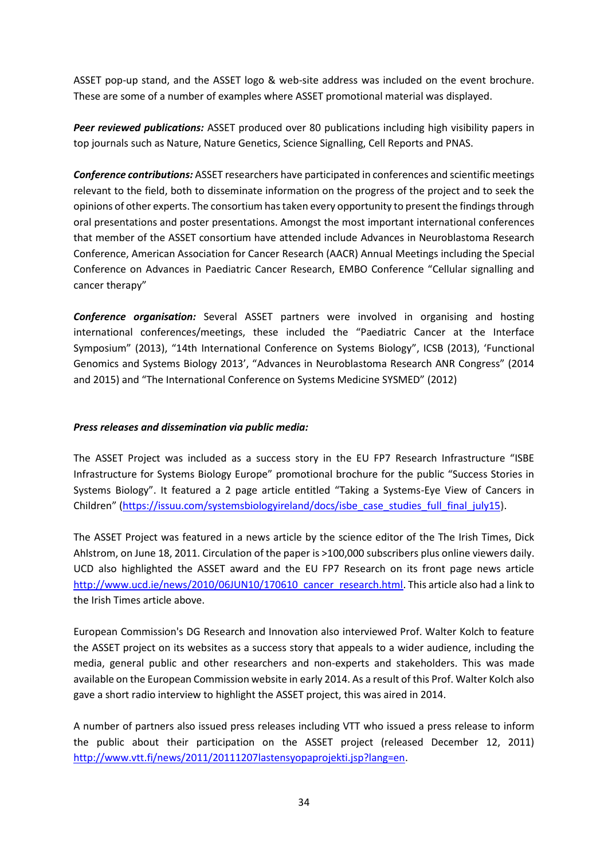ASSET pop-up stand, and the ASSET logo & web-site address was included on the event brochure. These are some of a number of examples where ASSET promotional material was displayed.

*Peer reviewed publications:* ASSET produced over 80 publications including high visibility papers in top journals such as Nature, Nature Genetics, Science Signalling, Cell Reports and PNAS.

*Conference contributions:* ASSET researchers have participated in conferences and scientific meetings relevant to the field, both to disseminate information on the progress of the project and to seek the opinions of other experts. The consortium has taken every opportunity to present the findings through oral presentations and poster presentations. Amongst the most important international conferences that member of the ASSET consortium have attended include Advances in Neuroblastoma Research Conference, American Association for Cancer Research (AACR) Annual Meetings including the Special Conference on Advances in Paediatric Cancer Research, EMBO Conference "Cellular signalling and cancer therapy"

*Conference organisation:* Several ASSET partners were involved in organising and hosting international conferences/meetings, these included the "Paediatric Cancer at the Interface Symposium" (2013), "14th International Conference on Systems Biology", ICSB (2013), 'Functional Genomics and Systems Biology 2013', "Advances in Neuroblastoma Research ANR Congress" (2014 and 2015) and "The International Conference on Systems Medicine SYSMED" (2012)

### *Press releases and dissemination via public media:*

The ASSET Project was included as a success story in the EU FP7 Research Infrastructure "ISBE Infrastructure for Systems Biology Europe" promotional brochure for the public "Success Stories in Systems Biology". It featured a 2 page article entitled "Taking a Systems-Eye View of Cancers in Children" [\(https://issuu.com/systemsbiologyireland/docs/isbe\\_case\\_studies\\_full\\_final\\_july15](https://issuu.com/systemsbiologyireland/docs/isbe_case_studies_full_final_july15)**)**.

The ASSET Project was featured in a news article by the science editor of the The Irish Times, Dick Ahlstrom, on June 18, 2011. Circulation of the paper is >100,000 subscribers plus online viewers daily. UCD also highlighted the ASSET award and the EU FP7 Research on its front page news article [http://www.ucd.ie/news/2010/06JUN10/170610\\_cancer\\_research.html.](http://www.ucd.ie/news/2010/06JUN10/170610_cancer_research.html) This article also had a link to the Irish Times article above.

European Commission's DG Research and Innovation also interviewed Prof. Walter Kolch to feature the ASSET project on its websites as a success story that appeals to a wider audience, including the media, general public and other researchers and non-experts and stakeholders. This was made available on the European Commission website in early 2014. As a result of this Prof. Walter Kolch also gave a short radio interview to highlight the ASSET project, this was aired in 2014.

A number of partners also issued press releases including VTT who issued a press release to inform the public about their participation on the ASSET project (released December 12, 2011) [http://www.vtt.fi/news/2011/20111207lastensyopaprojekti.jsp?lang=en.](http://www.vtt.fi/news/2011/20111207lastensyopaprojekti.jsp?lang=en)